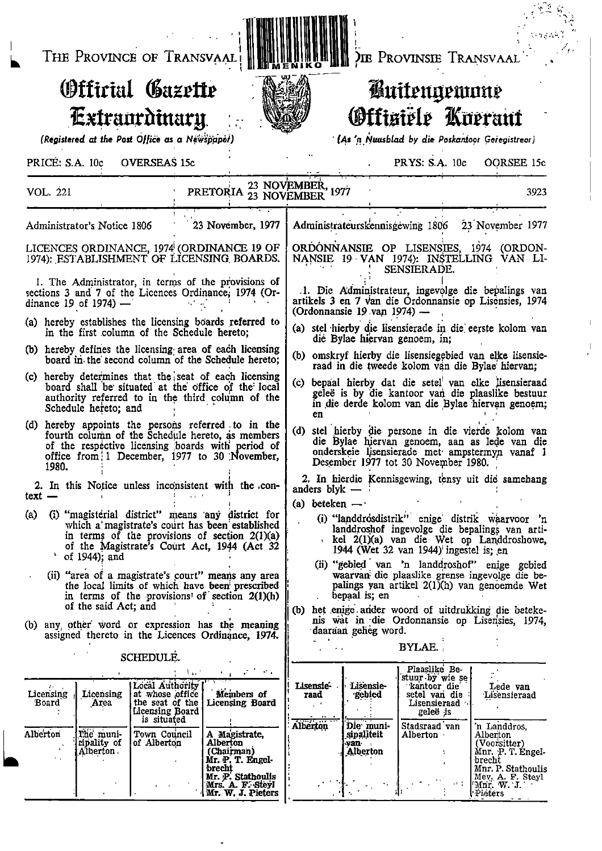• 1 THE PROVINCE OF TRANSVAAL <sup>i</sup> fliE rROVINSIE TRANSVAAL ' - " ,

## Offirial Gazette Extraordinary.

(Registered at the Post Office as a Newspaper)

## PRICE: S.A. 10c OVERSEAS 15c 4 PRYS: S.A. 10c OORSEE 15c

•

,

DIE PROVINSIE TRANSVAAL **II III MENIKO HUI** 

..

,

## **Buitengewone** Offisiële Kuerant

(As 'n Nuusblad by die Poskantoor Geregistrear)

| VOL. 221                                                                                                                                                                                                                                   | PRETORIA 23 NOVEMBER, 1977                                            | 3923                                                                                                                                                                                                           |  |  |  |  |  |
|--------------------------------------------------------------------------------------------------------------------------------------------------------------------------------------------------------------------------------------------|-----------------------------------------------------------------------|----------------------------------------------------------------------------------------------------------------------------------------------------------------------------------------------------------------|--|--|--|--|--|
| Administrator's Notice 1806                                                                                                                                                                                                                | 23 November, 1977                                                     | Administrateurskennisgewing 1806<br>23 November 1977                                                                                                                                                           |  |  |  |  |  |
| LICENCES ORDINANCE, 1974 (ORDINANCE 19 OF<br>1974): ESTABLISHMENT OF LICENSING BOARDS.                                                                                                                                                     |                                                                       | ORDONNANSIE OP LISENSIES, 1974 (ORDON-<br>NANSIE 19 VAN 1974): INSTELLING VAN LI-<br>SENSIERADE.                                                                                                               |  |  |  |  |  |
| 1. The Administrator, in terms of the provisions of<br>sections 3 and 7 of the Licences Ordinance; 1974 (Or-<br>dinance 19 of 1974) $-$                                                                                                    |                                                                       | .1. Die Administrateur, ingevolge die bepalings van<br>artikels 3 en 7 van die Ordonnansie op Lisensies, 1974<br>(Ordonnansie 19 van 1974) —                                                                   |  |  |  |  |  |
| (a) hereby establishes the licensing boards referred to<br>in the first column of the Schedule hereto;                                                                                                                                     |                                                                       | (a) stel hierby die lisensierade in die eerste kolom van<br>die Bylae hiervan genoem, in;                                                                                                                      |  |  |  |  |  |
| (b) hereby defines the licensing area of each licensing<br>board in the second column of the Schedule hereto;                                                                                                                              |                                                                       | (b) omskryf hierby die lisensiegebied van elke lisensie-<br>raad in die tweede kolom van die Bylae hiervan;                                                                                                    |  |  |  |  |  |
| (c) hereby determines that the seat of each licensing<br>board shall be situated at the office of the local<br>authority referred to in the third column of the<br>Schedule hereto; and                                                    |                                                                       | (c) bepaal hierby dat die setel van elke lisensieraad<br>geleë is by die kantoor van die plaaslike bestuur<br>in die derde kolom van die Bylae hiervan genoem;<br>en                                           |  |  |  |  |  |
| (d) hereby appoints the persons referred to in the<br>fourth column of the Schedule hereto, as members<br>of the respective licensing boards with period of<br>office from 1 December, 1977 to 30 November,<br>1980.                       |                                                                       | (d) stel hierby die persone in die vierde kolom van<br>die Bylae hiervan genoem, aan as lede van die<br>onderskeie lisensierade met ampstermyn vanaf 1<br>Desember 1977 tot 30 November 1980.                  |  |  |  |  |  |
| 2. In this Notice unless inconsistent with the con-                                                                                                                                                                                        |                                                                       | 2. In hierdie Kennisgewing, tensy uit die samehang<br>anders blyk $-$                                                                                                                                          |  |  |  |  |  |
| $text -$<br>(i) "magisterial district" means any district for<br>(a)<br>which a magistrate's court has been established<br>in terms of the provisions of section $2(1)(a)$<br>of the Magistrate's Court Act, 1944 (Act 32<br>of 1944); and |                                                                       | (a) beteken $-\cdot$<br>(i) "landdrosdistrik" enige distrik waarvoor 'n<br>landdroshof ingevolge die bepalings van arti-<br>kel 2(1)(a) van die Wet op Landdroshowe,<br>1944 (Wet 32 van 1944) ingestel is; en |  |  |  |  |  |
| (ii) "area of a magistrate's court" means any area<br>the local limits of which have been prescribed<br>in terms of the provisions of section $2(1)(h)$<br>of the said Act; and                                                            |                                                                       | (ii) "gebied van 'n landdroshof" enige gebied<br>waarvan die plaaslike grense ingevolge die be-<br>palings yan artikel 2(1)(h) van genoemde Wet<br>bepaal is; en                                               |  |  |  |  |  |
| (b) any other word or expression has the meaning<br>assigned thereto in the Licences Ordinance, 1974.                                                                                                                                      |                                                                       | (b) het enige ander woord of uitdrukking die beteke-<br>nis wat in die Ordonnansie op Lisensies, 1974,<br>daaraan geheg word.                                                                                  |  |  |  |  |  |
| SCHEDULE.                                                                                                                                                                                                                                  |                                                                       | <b>BYLAE.</b>                                                                                                                                                                                                  |  |  |  |  |  |
| Local Authority<br>Licensing<br>Licensing<br>at whose office<br><b>Board</b><br>Area<br>Licensing Board<br>is situated                                                                                                                     | いようばく やん<br>- 3 av.<br>Members of<br>Licensing Board                  | Plaaslike Be-<br>stuur by wie se<br>Lisensie-<br>Lisensie-<br>kantoor die<br>Lede van<br>setel van die<br>gebied<br>raad<br>Lisensieraad<br>Lisensieraad<br>., <b>.</b><br>geleë is<br>Alberton                |  |  |  |  |  |
| Alberton<br>The muni-<br>Town Council<br>cipality of<br>of Alberton<br>$\mathcal{L}^{\mathcal{N}}$<br>Alberton                                                                                                                             | A Magistrate,<br>Alberton<br>(Chairman)<br>Mr. P. T. Engel-<br>brecht | Die muni-<br>Stadsraad van<br>'n Landdros,<br>sipaliteit<br>${\bf Alberton}$ .<br>Alberton<br>(Voorsitter)<br>van<br>Alberton<br>Mnr. P. T. Engel-<br>brecht<br>Mnr. P. Stathoulis                             |  |  |  |  |  |

Mrs. A. F.:Steil • - . • '1 Mr. W. J. Pieters . Pieters .

Brecht Mr. p. Stathoulis <sup>I</sup> Mey. A. P. Steyl

Mey, A. F. Steyl<br>
Mnr. W. J.<br>
Pleters

.

i

.

i ii ii lii <mark>1</mark>

JIB <sup>1</sup>

**M...** . Neg $\mu$ 

.

,

- - -

•

๛๛๛๛

de

• •

-

. - .

i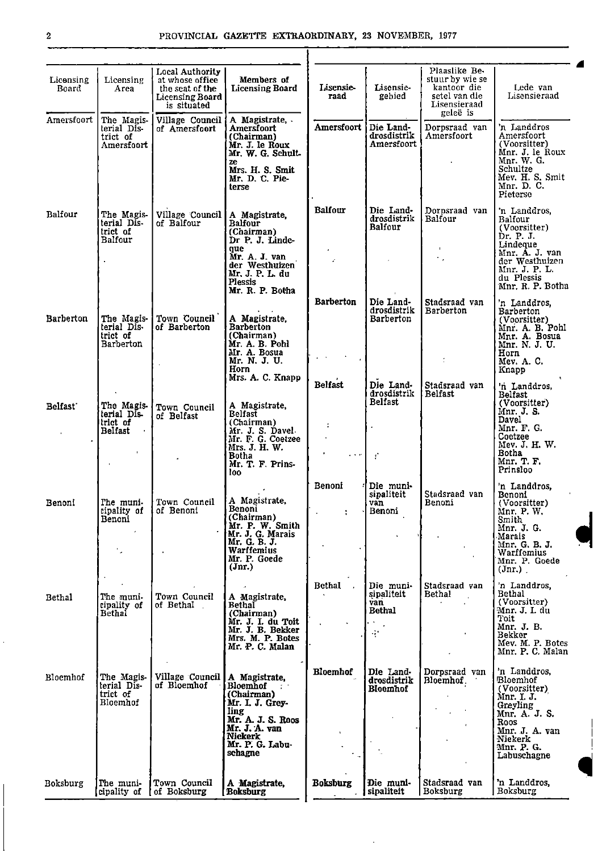| Licensing<br>Board   | Licensing<br>Area                                                         | Local Authority<br>at whose office<br>the seat of the<br><b>Licensing Board</b><br>is situated | Members of<br><b>Licensing Board</b>                                                                                                                     | Lisensie-<br>raad               | Lisensie-<br>gebied                                       | Plaaslike Be-<br>stuur by wie se<br>kantoor die<br>setel van die<br>Lisensieraad<br>geleë is | Lede van<br>Lisensieraad                                                                                                                                |
|----------------------|---------------------------------------------------------------------------|------------------------------------------------------------------------------------------------|----------------------------------------------------------------------------------------------------------------------------------------------------------|---------------------------------|-----------------------------------------------------------|----------------------------------------------------------------------------------------------|---------------------------------------------------------------------------------------------------------------------------------------------------------|
| Amersfoort           | The Magis-<br>terial Dis-<br>trict of<br>Amersfoort                       | Village Council<br>of Amersfoort                                                               | A Magistrate,<br>Amersfoort<br>(Chairman)<br>Mr. J. le Roux<br>Mr. W. G. Schult-<br>ze<br>Mrs. H. S. Smit<br>Mr. D. C. Pie-<br>terse                     | Amersfoort                      | Die Land-<br>drosdistrik<br>Amersfoort                    | Dorpsraad van<br>Amersfoort                                                                  | 'n Landdros<br>Amersfoort<br>(Voorsitter)<br>Mnr. J. le Roux<br>Mnr. W. G.<br>Schultze<br>Mev. H. S. Smit<br>Mnr. D. C.<br>Pieterse                     |
| Balfour              | The Magis-<br>terial Dis-<br>trict of<br><b>Balfour</b>                   | Village Council<br>of Balfour                                                                  | A Magistrate,<br>Balfour<br>(Chairman)<br>Dr P. J. Linde-<br>que<br>Mr. A. J. van<br>der Westhuizen<br>Mr. J. P. L. du<br>Plessis<br>Mr. R. P. Botha     | <b>Balfour</b><br>$\mathcal{L}$ | Die Land-<br>drosdistrik<br>Balfour                       | Dorpsraad van<br>Balfour<br>$\sim$ .                                                         | 'n Landdros,<br>Balfour<br>(Voorsitter)<br>Dr. P. J.<br>Lindeque<br>Mnr. A. J. van<br>der Westhuizen<br>Mnr. J. P. L.<br>du Plessis<br>Mnr. R. P. Botha |
| <b>Barberton</b>     | The Magis-<br>terial Dis-<br>trict of<br>Barberton                        | Town Council<br>of Barberton                                                                   | A Magistrate,<br><b>Barberton</b><br>(Chairman)<br>Mr. A. B. Pohl<br>Mr. A. Bosua<br>Mr. N. J. U.<br>Horn<br>Mrs. A. C. Knapp                            | <b>Barberton</b>                | Die Land-<br>drosdistrik<br><b>Barberton</b>              | Stadsraad van<br>Barberton                                                                   | 'n Landdros.<br>Barberton<br>(Voorsitter)<br>Mnr. A. B. Pohl<br>Mnr. A. Bosua<br>Mnr. N. J. U.<br>Horn<br>Mev. A. C.<br>Knapp                           |
| Belfast <sup>-</sup> | The Magis-<br>terial Dis<br>trict of<br>Belfast<br>$\sim$<br>$\mathbf{L}$ | Town Council<br>of Belfast                                                                     | A Magistrate,<br>Belfast<br>(Chairman)<br>Mr. J. S. Davel<br>Mr. F. G. Coetzee<br>Mrs. J. H. W.<br>Botha<br>Mr. T. F. Prins-<br>loo:                     | <b>Belfast</b><br>$\cdots$      | Die Land-<br>drosdistrik<br>Belfast<br>Ť                  | Stadsraad van<br>Belfast                                                                     | 'n Landdros,<br>Belfast<br>(Voorsitter)<br>Mnr. J. S.<br>Davel<br>Mnr. F. G.<br>Coetzee<br>Mev. J. H. W.<br>Botha<br>Mnr. T. F.<br>Prinsloo             |
| Benoni               | The muni-<br>cipality of<br>Benoni                                        | Town Council<br>of Benoni                                                                      | A Magistrate,<br>Benoni<br>(Chairman)<br>Mr. P. W. Smith<br>Mr. J. G. Marais<br>Mr. G. B. J.<br>Warffemius<br>Mr. P. Goede<br>$({\rm Jnr.})$             | Benoni                          | Die muni-<br>sipaliteit<br>van<br>Benoni                  | Stadsraad van<br>Benoni                                                                      | 'n Landdros,<br>Benoni<br>(Voorsitter)<br>Mnr. P. W.<br>Smith<br>Mnr. J. G.<br>Marais<br>Mnr. G. B. J.<br>Warffemius<br>Mnr. P. Goede<br>(Jnr.)         |
| Bethal               | The muni-<br>cipality of<br><b>Bethal</b>                                 | Town Council<br>of Bethal                                                                      | A Magistrate,<br>Bethal<br>(Chairman)<br>Mr. J. I. du Toit<br>Mr. J. B. Bekker<br>Mrs. M. P. Botes<br>Mr. P. C. Malan                                    | <b>Bethal</b>                   | Die muni-<br>sipaliteit<br>van<br>Bethal<br>$\mathcal{H}$ | Stadsraad van<br><b>Bethal</b>                                                               | 'n Landdros,<br>Bethal<br>(Voorsitter)<br>Mnr. J. I. du<br>Toit<br>Mnr. J. B.<br>Bekker<br>Mev. M. P. Botes<br>Mnr. P. C. Malan                         |
| Bloemhof             | The Magis-<br>terial Dis-<br>trict of<br>Bloemhof                         | Village Council<br>of Bloemhof                                                                 | A Magistrate,<br>Bloemhof<br>(Chairman)<br>Mr. I. J. Grey-<br>ling<br>Mr. A. J. S. Roos<br>Mr. J. A. van<br><b>Niekerk</b><br>Mr. P. G. Labu-<br>schagne | <b>Bloemhof</b>                 | Die Land<br>drosdistrik<br>Bloemhof                       | Dorpsraad van<br>Bloemhof<br>$\bullet$                                                       | 'n Landdros,<br>Bloemhof<br>(Voorsitter)<br>Mnr. I. J.<br>Greyling<br>Mnr. A. J. S.<br>Roos<br>Mnr. J. A. van<br>Niekerk<br>Mnr. P. G.<br>Labuschagne   |
| Boksburg             | The muni-<br>cipality of                                                  | Town Council<br>of Boksburg                                                                    | A Magistrate,<br>[Boksburg]                                                                                                                              | <b>Boksburg</b>                 | Die muni-<br>sipaliteit                                   | Stadsraad van<br>Boksburg                                                                    | 'n Landdros,<br>Boksburg                                                                                                                                |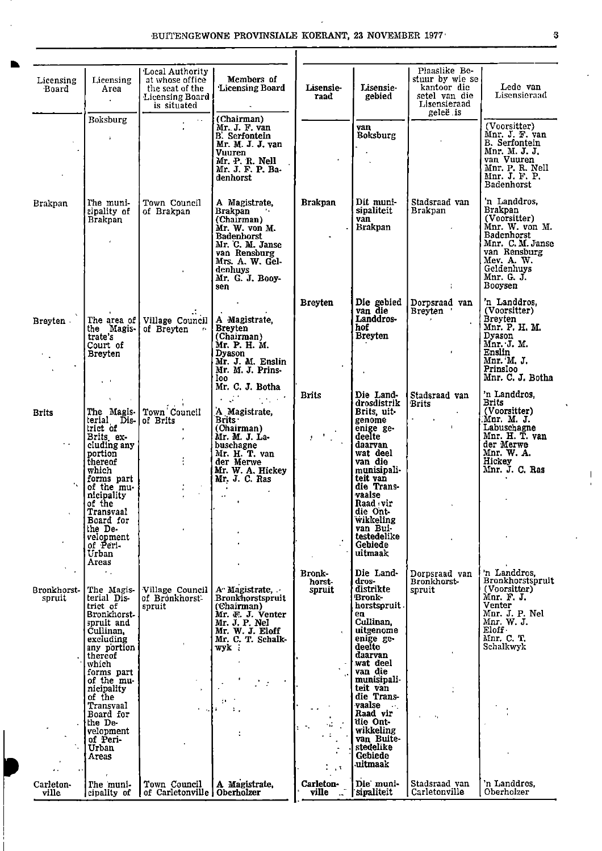| Licensing<br>Board    | Licensing<br>Area<br>$\cdot$                                                                                                                                                                                                                                      | Local Authority<br>at whose office<br>the seat of the<br><b>Licensing Board</b><br>is situated | Members of<br>'Licensing Board                                                                                                                                                                                         | Lisensie-<br>raad                                         | Lisensie-<br>gebied                                                                                                                                                                                                                                           | Plaaslike Be-<br>stuur by wie se<br>kantoor die<br>setel van die<br>Lisensieraad<br>geleë, is | Lede van<br>Lisensieraad                                                                                                                                                      |
|-----------------------|-------------------------------------------------------------------------------------------------------------------------------------------------------------------------------------------------------------------------------------------------------------------|------------------------------------------------------------------------------------------------|------------------------------------------------------------------------------------------------------------------------------------------------------------------------------------------------------------------------|-----------------------------------------------------------|---------------------------------------------------------------------------------------------------------------------------------------------------------------------------------------------------------------------------------------------------------------|-----------------------------------------------------------------------------------------------|-------------------------------------------------------------------------------------------------------------------------------------------------------------------------------|
|                       | Boksburg<br>$\mathbf{r}$                                                                                                                                                                                                                                          | $\sim 10^{-1}$<br>$\mathbf{r}$ .                                                               | (Chairman)<br>Mr. J. F. van<br><b>B.</b> Serfontein<br>Mr. M. J. J. van<br>Vuuren<br>Mr. P. R. Nell<br>Mr. J. F. P. Ba-<br>denhorst                                                                                    |                                                           | van<br>Boksburg                                                                                                                                                                                                                                               |                                                                                               | (Voorsitter)<br>Mnr. J. F. van<br><b>B.</b> Serfontein<br>Mnr. M. J. J.<br>van Vuuren<br>Mnr. P. R. Nell<br>Mnr. J. F. P.<br>Badenhorst                                       |
| Brakpan               | The muni-<br>cipality of<br>Brakpan<br>$\mathcal{L}$                                                                                                                                                                                                              | Town Council<br>of Brakpan                                                                     | A Magistrate,<br><b>Brakpan</b><br>(Chairman)<br>Mr. W. von M.<br><b>Badenhorst</b><br>Mr. C. M. Janse<br>van Rensburg<br>Mrs. A. W. Gel-<br>denhuys<br>Mr. G. J. Booy-<br>sen                                         | <b>Brakpan</b>                                            | Dit muni-<br>sipaliteit<br>van<br>Brakpan                                                                                                                                                                                                                     | Stadsraad van<br>Brakpan<br>$\sim$                                                            | n Landdros.<br>Brakpan<br>(Voorsitter)<br>Mnr. W. von M.<br><b>Badenhorst</b><br>Mnr. C. M. Janse<br>van Rensburg<br>Mev. A. W.<br>Geldenhuys<br>Mnr. G. J.<br>Booysen        |
| Breyten<br>У.,        | the Magis-<br>Court of<br><b>Breyten</b><br>$\sim 10$                                                                                                                                                                                                             | The area of Village Council   A Magistrate,<br>of Breyten                                      | $\ddot{\phantom{0}}$<br><b>Breyten</b><br>(Chairman)<br>Mr. P. H. M.<br>Dyason<br>Mr. J. M. Enslin<br>Mr. M. J. Prins-<br>loo l                                                                                        | <b>Breyten</b>                                            | Die gebied<br>van die<br>Landdros-<br>hof<br><b>Breyten</b>                                                                                                                                                                                                   | Dorpsraad van<br>Breyten '<br><b>Contract Contract</b><br>$\mathbf{L}$                        | 'n Landdros,<br>(Voorsitter)<br><b>Breyten</b><br>Mnr. P. H. M.<br>Dyason<br>Mnr. J. M.<br>Enslin<br>Mnr. M. J.<br>Prinsloo<br>Mnr. C. J. Botha                               |
| <b>Brits</b>          | $\mathbf{A}$ .<br>terial Dis- of Brits<br>Brits ex-                                                                                                                                                                                                               | The Magis Town Council<br>$\pmb{\cdot}$                                                        | Mr. C. J. Botha<br>$\label{eq:2.1} \mathcal{L}^{\mathcal{A}}(\mathcal{A}^{\mathcal{A}}) = \mathcal{L}^{\mathcal{A}}(\mathcal{A}^{\mathcal{A}})$<br>A Magistrate,<br>Brits <b>Britts</b><br>(Chairman)<br>Mr. M. J. La- | <b>Brits</b><br>$\mathcal{F}^{(1)}$ , $\mathcal{F}^{(2)}$ | Die Land-<br>drosdistrik<br>Brits, uit-<br>genome<br>enige ge-<br>deelte                                                                                                                                                                                      | Stadsraad van<br><b>Brits</b><br>$\mathcal{L}^{\pm}$<br>$\sim$ $\sim$<br>$\mathbf{L}$         | 'n Landdros,<br><b>Brits</b><br>(Voorsitter)<br>Mnr. M. J.<br>Labuschagne<br>Mnr. H. T. van                                                                                   |
| r al<br>ч.            | cluding any<br>portion<br>thereof<br>which<br>forms part  <br>of the mu-<br>nicipality<br>of the<br>Transvaal<br>Board for<br>the De-<br>velopment<br>of Peri-<br>Urban<br>Areas                                                                                  |                                                                                                | buschagne<br>Mr. H. T. van<br>der Merwe<br>Mr. W. A. Hickey<br>Mr. J. C. Ras<br>$\bullet$<br>$\sim$                                                                                                                    |                                                           | daarvan<br>wat deel<br>van die<br>munisipali-<br>teit van<br>die Trans-<br>vaalse<br>Raad vir<br>die Ont-<br>wikkeling<br>van Bui <sup>-</sup><br>testedelike<br>Gebiede<br>uitmaak                                                                           |                                                                                               | der Merwe<br>Mnr. W. A.<br>Hickey<br>Mnr. J. C. Ras                                                                                                                           |
| Bronkhorst-<br>spruit | $\mathcal{L}_{\rm{max}}$<br>The Magis-<br>terial Dis-<br>trict of<br>Bronkhorst-<br>spruit and<br>Cullinan.<br>excluding<br>any portion<br>thereof<br>which<br>forms part<br>of the mu-<br>nicipality<br>of the<br>Transvaal<br>Board for<br>the De-<br>velopment | Village Council<br>of Bronkhorst<br>spruit<br>$\mathbf{C}=\mathbf{r}_0$                        | A Magistrate.<br>.Bronkhorstspruit<br>(Chairman)<br>Mr. F. J. Venter<br>Mr. J. P. Nel<br>Mr. W. J. Eloff<br>Mr. C. T. Schalk-<br>wyk :<br>φ×.<br>Ι.                                                                    | <b>Bronk-</b><br>horst-<br>spruit                         | Die Land-<br>dros-<br>distrikte<br>Bronk-<br>horstspruit.<br>en<br>Cullinan.<br>uitgenome<br>enige ge-<br>deelte<br>daarvan<br>wat deel<br>van die<br>munisipali-<br>teit van<br>die Trans-<br>vaalse<br>$\sim 10^{-11}$<br>Raad vir<br>die Ont-<br>wikkeling | Dorpsraad van<br>Bronkhorst-<br>spruit<br>٠.                                                  | 'n Landdros,<br><b>Bronkhorstspruit</b><br>(Voorsitter)<br>Mnr. F. J.<br>Venter<br>Mnr. J. P. Nel<br>Mnr. W. J.<br>$E\left\{ \text{left} \right\}$<br>Mnr. C. T.<br>Schalkwyk |
| Carleton-<br>ville    | of Peri-<br>Urban<br>Areas<br>The muni-<br>cipality of 1                                                                                                                                                                                                          | Town Council<br>of Carletonville   Oberholzer                                                  | A Magistrate.                                                                                                                                                                                                          | $\mathbf{r}$ , $\mathbf{r}$<br>Carleton-<br>ville         | van Buite-<br>stedelike<br><b>Gebiede</b><br>uitmaak<br>Die muni-<br>sipaliteit                                                                                                                                                                               | Stadsraad van<br>Carletonville                                                                | 'n Landdros.<br>Oberholzer                                                                                                                                                    |

.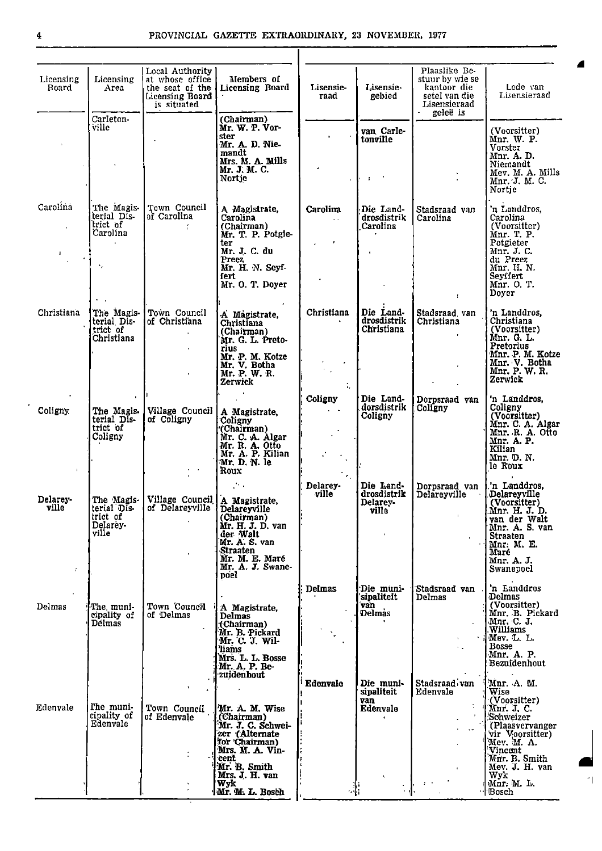" I

| Licensing<br>Area<br>Carleton-<br>ville<br>The Magis-<br>terial Dis-<br>trict of<br>Carolina<br>٠, | Local Authority<br>at whose office<br>the seat of the<br>Licensing Board<br>is situated<br>Town Council<br>of Carolina | Members of<br><b>Licensing Board</b><br>(Chairman)<br>Mr. W. P. Vor-<br>ster<br>Mr. A. D. Nie-<br>mandt<br>Mrs. M. A. Mills<br>Mr. J. M. C.<br>Nortje<br>A Magistrate,<br>Carolina<br>(Chairman) | Lisensie-<br>raad<br>Carolina                              | Lisensie-<br>gebied<br>van Carle-<br>tonville<br>÷ | Plaaslike Be-<br>stuur by wie se<br>kantoor die<br>setel van die<br>Lisensieraad<br>geleë is | Lede van<br>Lisensieraad<br>(Voorsitter)<br>Mnr. W. P.<br>Vorster<br>Mnr. A. D.<br>Niemandt                                                                            |
|----------------------------------------------------------------------------------------------------|------------------------------------------------------------------------------------------------------------------------|--------------------------------------------------------------------------------------------------------------------------------------------------------------------------------------------------|------------------------------------------------------------|----------------------------------------------------|----------------------------------------------------------------------------------------------|------------------------------------------------------------------------------------------------------------------------------------------------------------------------|
|                                                                                                    |                                                                                                                        |                                                                                                                                                                                                  |                                                            |                                                    |                                                                                              |                                                                                                                                                                        |
|                                                                                                    |                                                                                                                        |                                                                                                                                                                                                  |                                                            |                                                    |                                                                                              | Mev. M. A. Mills<br>Mnr. J. M. C.<br>Nortie                                                                                                                            |
|                                                                                                    |                                                                                                                        | Mr. T. P. Potgle-<br>ter<br>Mr. J. C. du<br>Preez<br>Mr. H. N. Seyf-<br>fert<br>Mr. O. T. Doyer                                                                                                  | $\sim 10^{-11}$                                            | Die Land-<br>drosdistrik<br>Carolina               | Stadsraad van<br>Carolina                                                                    | 'n Landdros,<br>Carolina<br>(Voorsitter)<br>Mnr. T. P.<br>Potgieter<br>Mnr. J. C.<br>du Preez<br>Mnr. H. N.<br>Seyffert<br>Mnr. O. T.<br>Doyer                         |
| The Magis-<br>terial Dis-<br>trict of<br>Christiana                                                | Town Council<br>of Christiana                                                                                          | A Magistrate,<br>Christiana<br>(Chairman)<br>Mr. G. L. Preto-<br>rius<br>Mr. P. M. Kotze<br>Mr. V. Botha<br>Mr. P. W. R.<br>Zerwick                                                              | Christiana<br>$\mathbb{C}$                                 | Die Land-<br>drosdistrik<br>Christiana             | Stadsraad van<br>Christiana                                                                  | 'n Landdros,<br>Christiana<br>(Voorsitter)<br>Mnr. G. L.<br>Pretorius<br>Mnr. P. M. Kotze<br>Mnr. V. Botha<br>Mnr. P. W. R.<br>Zerwick                                 |
| The Magis-<br>terial DIs-<br>trict of<br>Coligny                                                   | Village Council<br>of Coligny                                                                                          | $\bullet$<br>A Magistrate,<br>Coligny<br>(Chairman)<br>Mr. C. A. Algar<br>Mr. R. A. Otto<br>Mr. A. P. Kilian<br>Mr. D. N. le<br>Roux                                                             | Coligny<br>$\ddot{\phantom{1}}$                            | Die Land-<br>dorsdistrik<br>Coligny                | Dorpsraad van<br>Coligny                                                                     | 'n Landdros,<br>Coligny<br>(Voorsitter)<br>Mnr. C. A. Algar<br>Mnr. R. A. Otto<br>Mnr. A. P.<br>Kilian<br>Mnr. D. N.<br>le Roux                                        |
| terial DIs-<br>trict of<br>Delarey-<br>ville                                                       | of Delareyville                                                                                                        | $\mathcal{N}$ .<br>Delareyville<br>(Chairman)<br>Mr. H. J. D. van<br>der Walt<br>Mr. A. S. van<br><b>Straaten</b><br>Mr. M. E. Maré<br>Mr. A. J. Swane-<br>poel                                  | Delarey-<br>ville                                          | drosdistrik<br>Delarey-<br>ville                   | Dorpsraad van<br>Delareyville<br>$\mathbf{L}$                                                | 'n Landdros.<br>Delareyville<br>(Voorsitter)<br>Mnr. H. J. D.<br>van der Walt<br>Mnr. A. S. van<br><b>Straaten</b><br>Mnr. M. E.<br>Maré<br>Mnr. A. J.<br>Swanepoel    |
| The muni-<br>cipality of<br>Délmas                                                                 | Town Council<br>of Delmas                                                                                              | A Magistrate,<br><b>Delmas</b><br>(Chairman)<br>Mr. B. Pickard<br>Mr. C. J. Wil-<br>'liams<br>Mrs. L. L. Bosse<br>Mr. A. P. Be-<br>zuidenhout                                                    | <b>Delmas</b>                                              | Die muni-<br>sipaliteit<br>van<br><b>Delmas</b>    | Stadsraad van<br>Delmas<br>$\sim 10$                                                         | 'n Landdros<br>Delmas<br>(Voorsitter)<br>Mnr. B. Pickard<br>Mnr. C. J.<br>.Williams<br>Mev. L. L.<br><b>Bosse</b><br>Mnr. A. P.<br>Bezuidenhout                        |
| The muni-<br>cipality of<br>Edenvale                                                               | Town Council<br>of Edenvale                                                                                            | Mr. A. M. Wise<br>(Chairman)<br>Mr. J. C. Schwei-<br>zer (Alternate<br>for 'Chairman'<br>Mrs. M. A. Vin-<br>cent                                                                                 |                                                            | sipaliteit<br>van<br>Edenvale                      | Edenvale<br>$\mathbf{J}$<br>$\sim$                                                           | Mnr. A. M.<br>Wise<br>(Voorsitter)<br>Mnr. J. C.<br>Schweizer<br>(Plaasvervanger<br>vir Voorsitter)<br>Mev. M. A.<br>Vincent<br>Mnr. B. Smith<br>Mev. J. H. van<br>Wyk |
|                                                                                                    |                                                                                                                        |                                                                                                                                                                                                  | The Magis- Village Council   A Magistrate,<br>Mr. B. Smith | Edenvale<br>Mrs. J. H. van                         | Die Land-<br>Die muni-                                                                       | Stadsraad van                                                                                                                                                          |

 $\lambda$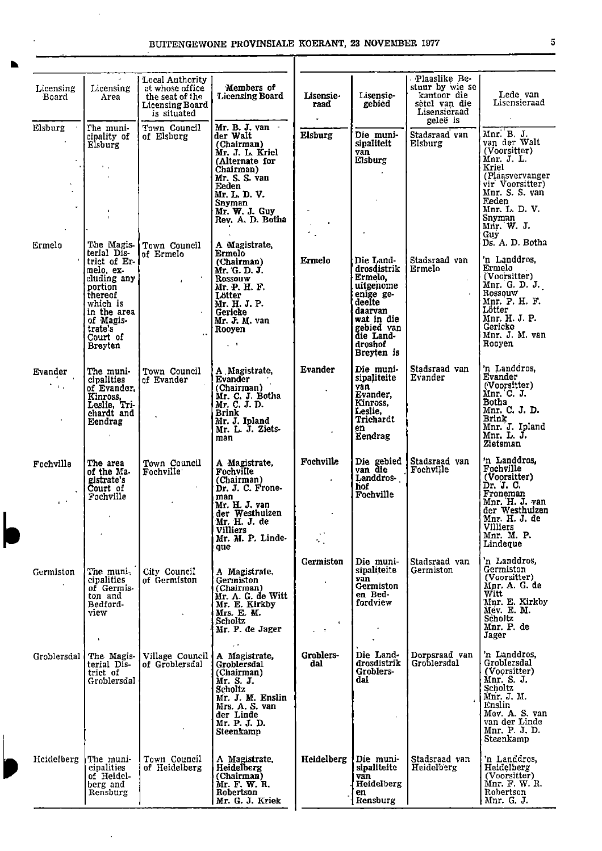l,

 $\bar{\mathcal{A}}$ 

| Licensing<br>Board        | Licensing<br>Area                                                                                                                                              | Local Authority<br>at whose office<br>the seat of the<br><b>Licensing Board</b><br>is situated | Members of<br><b>Licensing Board</b>                                                                                                                                                         | Lisensie-<br>raad<br>$\bullet$                      | Lisensie-<br>gebied                                                                                                                                  | Plaaslike Be-<br>stuur by wie se<br>kantoor die<br>setel van die<br>Lisensieraad<br>geleë is | Lede van<br>Lisensieraad                                                                                                                                                           |
|---------------------------|----------------------------------------------------------------------------------------------------------------------------------------------------------------|------------------------------------------------------------------------------------------------|----------------------------------------------------------------------------------------------------------------------------------------------------------------------------------------------|-----------------------------------------------------|------------------------------------------------------------------------------------------------------------------------------------------------------|----------------------------------------------------------------------------------------------|------------------------------------------------------------------------------------------------------------------------------------------------------------------------------------|
| Elsburg                   | The muni-<br>cipality of<br>Elsburg<br>$\mathbf{r}=\mathbf{r}$<br>$\mathbf{r}$<br>×                                                                            | Town Council<br>of Elsburg                                                                     | Mr. B. J. van<br>der Walt<br>(Chairman)<br>Mr. J. L. Kriel<br>(Alternate for<br>Chairman)<br>Mr. S. S. van<br>Feden<br>Mr. L. D. V.<br>Snyman<br>Mr. W. J. Guy<br>Rev. A. D. Botha           | <b>Elsburg</b>                                      | Die muni-<br>sipaliteit<br>ván<br>Elsburg                                                                                                            | Stadsraad van<br>Elsburg                                                                     | Mnr. B. J.<br>van der Walt<br>(Voorsitter)<br>Mnr. J. L.<br>Kriel<br>(Plaasvervanger<br>vir Voorsitter)<br>Mnr. S. S. van<br>Eeden<br>Mnr. L. D. V.<br>Snyman<br>Mnr. W. J.<br>Guy |
| Ermelo                    | terial Dis-<br>trict of Er-<br>melo, ex-<br>cluding any<br>portion<br>thereof<br>which is<br>in the area<br>of Magis-<br>trate's<br>Court of<br><b>Breyten</b> | The Magis- Town Council<br>of Ermelo<br>$\ddot{\phantom{1}}$                                   | A Magistrate,<br>Ermelo<br>(Chairman)<br>Mr. G. D. J.<br><b>Rossouw</b><br>Mr. P. H. F.<br>Lötter<br>Mr. H. J. P.<br>Gericke<br>Mr. J. M. van<br>Rooyen<br>$\mathcal{L} \subset \mathcal{K}$ | Ermelo                                              | Die Land-<br>drosdistrik<br>Ermelo,<br>uitgenome<br>enige ge-<br>deelte<br>daarvan<br>wat in die<br>gebied van<br>die Land-<br>droshof<br>Breyten is | Stadsraad van<br>Ermelo                                                                      | Ds. A. D. Botha<br>'n Landdros,<br>Ermelo<br>(Voorsitter)<br>Mnr. G. D. J.<br>Rossouw<br>Mnr. P. H. F.<br>Lötter<br>Mnr. H. J. P.<br>Gericke<br>Mnr. J. M. van<br>Rooyen           |
| Evander<br>$\sim 1.4$     | The muni-<br>cipalities<br>of Evander,<br>Kinross.<br>Leslie, Tri-<br>chardt and<br>Eendrag                                                                    | Town Council<br>of Evander                                                                     | A Magistrate,<br>Evander<br>(Chairman)<br>Mr. C. J. Botha<br>Mr. C. J. D.<br><b>Brink</b><br>Mr. J. Ipland<br>Mr. L. J. Ziets-<br>man                                                        | Evander                                             | Die muni-<br>sipaliteite<br>van<br>Evander,<br>Kinross,<br>Leslie,<br>Trichardt<br>en<br>Eendrag                                                     | Stadsraad van<br>Evander                                                                     | 'n Landdros,<br>Evander<br>(Voorsitter)<br>Mnr. C. J.<br>Botha<br>Mnr. C. J. D.<br>Brink<br>Mnr. J. Ipland<br>Mnr. L. J.<br>Zietsman                                               |
| Fochville<br>$\epsilon$ . | The area<br>of the Ma-<br>gistrate's<br>Court of<br>Fochville                                                                                                  | Town Council<br>Fochville'                                                                     | A Magistrate,<br>Fochville<br>(Chairman)<br>Dr. J. C. Frone-<br>man<br>Mr. H. J. van<br>der Westhuizen<br>Mr. H. J. de<br><b>Villiers</b><br>Mr. M. P. Linde-<br>que                         | Fochville<br>$\mathbf{v}^{(k)}$<br>ч.               | Die gebied<br>van die<br>Landdros-<br>hof<br>Fochville                                                                                               | Stadsraad van<br>Fochville                                                                   | 'n Landdros.<br>Fochville<br>(Voorsitter)<br>Dr. J. C.<br>Froneman<br>Mnr. H. J. van<br>der Westhuizen<br>Mnr. H. J. de<br><b>Villiers</b><br>Mnr. M. P.<br>Lindeque               |
| Germiston                 | The muni.<br>cipalities<br>of Germis-<br>ton and<br>Bedford-<br>view<br>$\mathbf{L}$                                                                           | City Council<br>of Germiston                                                                   | A Magistrate,<br>Germiston<br>(Chairman)<br>Mr. A. G. de Witt<br>Mr. E. Kirkby<br>Mrs. E. M.<br>Scholtz<br>Mr. P. de Jager<br>$\sim$ 1.                                                      | Germiston<br>$\bullet$<br>٠<br>$\omega = \pm \pi$ . | Die muni-<br>sipaliteite<br>van<br>Germiston<br>en Bed-<br>fordview                                                                                  | Stadsraad van<br>Germiston                                                                   | 'n Landdros.<br>Germiston<br>(Voorsitter)<br>Mnr. A. G. de<br>Witt<br>Mnr. E. Kirkby<br>Mev. E. M.<br>Scholtz<br>Mnr. P. de<br>Jager                                               |
| Groblersdal               | The Magis-<br>terial Dis-<br>trict of<br>Groblersdal                                                                                                           | Village Council<br>of Groblersdal                                                              | A Magistrate,<br>Groblersdal<br>(Chairman)<br>Mr. S. J.<br>Scholtz<br>Mr. J. M. Enslin<br>Mrs. A. S. van<br>der Linde<br>Mr. P. J. D.<br>Steenkamp                                           | Groblers-<br>dal                                    | Die Land-<br>drosdistrik<br>Groblers-<br>dal                                                                                                         | Dorpsraad van<br>Groblersdal                                                                 | 'n Landdros,<br>Groblersdal<br>(Voorsitter)<br>Mnr. S. J.<br><b>Scholtz</b><br>Mnr. J. M.<br>Enslin<br>Mev. A. S. van<br>van der Linde<br>Mnr. P. J. D.<br>Steenkamp               |
| Heidelberg                | The muni-<br>cipalities<br>of Heidel-<br>berg and<br>Rensburg                                                                                                  | Town Council<br>of Heidelberg                                                                  | A Magistrate,<br>Heidelberg<br>(Chairman)<br>Mr. F. W. R.<br>Robertson<br>Mr. G. J. Kriek                                                                                                    | Heidelberg                                          | Die muni-<br>sipaliteite<br>van<br>Heidelberg<br>en<br>Rensburg                                                                                      | Stadsraad van<br>Heidelberg                                                                  | n Landdros,<br>Heidelberg<br>(Voorsitter)<br>Mnr. F. W. R.<br>Robertson<br>Mnr. G. J.                                                                                              |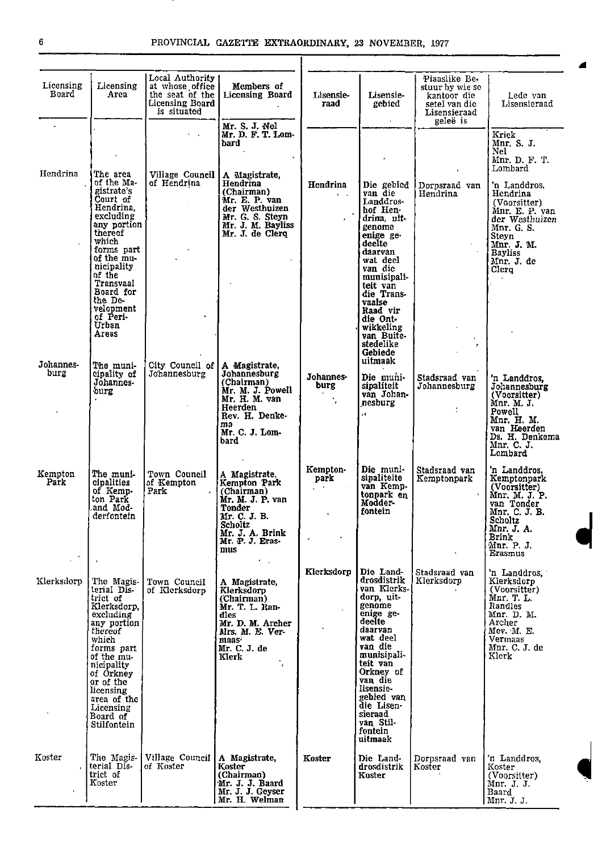. .

| Licensing<br>Board | Licensing<br>Area                                                                                                                                                                                                                                        | Local Authority<br>at whose office<br>the seat of the<br>Licensing Board<br>is situated | Members of<br><b>Licensing Board</b>                                                                                                                             | Lisensie-<br>raad                               | Lisensie-<br>gebied                                                                                                                                                                                                                                                       | Plaaslike Be-<br>stuur by wie se<br>kantoor die<br>setel van die<br>Lisensieraad<br>geleë is | Lede van<br>Lisensieraad                                                                                                                                              |
|--------------------|----------------------------------------------------------------------------------------------------------------------------------------------------------------------------------------------------------------------------------------------------------|-----------------------------------------------------------------------------------------|------------------------------------------------------------------------------------------------------------------------------------------------------------------|-------------------------------------------------|---------------------------------------------------------------------------------------------------------------------------------------------------------------------------------------------------------------------------------------------------------------------------|----------------------------------------------------------------------------------------------|-----------------------------------------------------------------------------------------------------------------------------------------------------------------------|
|                    |                                                                                                                                                                                                                                                          | <b>College</b>                                                                          | Mr. S. J. Nel<br>Mr. D. F. T. Lom-<br>bard                                                                                                                       |                                                 |                                                                                                                                                                                                                                                                           |                                                                                              | Kriek<br>Mnr. S. J.<br>Nel<br>Mnr. D. F. T.                                                                                                                           |
| Hendrina           | The area<br>of the Ma-<br>gistrate's<br>Court of<br>Hendrina.<br>excluding<br>any portion<br>thereof<br>which<br>forms part<br>of the mu-<br>nicipality<br>of the<br>Transvaal<br>Board for<br>the De-<br>velopment<br>of Peri-<br><b>Urban</b><br>Areas | Village Council<br>of Hendrina                                                          | A Magistrate,<br>Hendrina<br>(Chairman)<br>Mr. E. P. van<br>der Westhuizen<br>Mr. G. S. Steyn<br>Mr. J. M. Bayliss<br>Mr. J. de Clerq                            | Hendrina<br>$\mathbf{z}=\mathbf{z}$ .           | Die gebied<br>van die<br>Landdros-<br>hof Hen-<br>drina, uit-<br>genome<br>enige ge-<br>deelte<br>daarvan<br>wat deel<br>van die<br>munisipali-<br>teit van<br>die Trans-<br>vaalse<br>Raad vir<br>die Ont-<br>wikkeling<br>van Buite-<br>stedelike<br>Gebiede<br>uitmaak | Dornsraad van<br>Hendrina<br>$\blacksquare$                                                  | Lombard<br>'n Landdros.<br>Hendrina<br>(Voorsitter)<br>Mnr. E. P. van<br>der Westhuizen<br>Mnr. G. S.<br>Steyn<br>Mnr. J. M.<br><b>Bayliss</b><br>Mnr. J. de<br>Clerg |
| Johannes-<br>burg  | The muni-<br>cipality of<br>Johannes-<br>burg                                                                                                                                                                                                            | City Council of<br>Johannesburg                                                         | A Magistrate,<br>Johannesburg<br>(Chairman)<br>Mr. M. J. Powell<br>Mr. H. M. van<br>Heerden<br>Rev. H. Denke-<br>ma<br>Mr. C. J. Lom-<br>bard                    | Johannes-<br>burg                               | Die muni-<br>sipaliteit<br>van Johan-<br>nesburg<br>ù.                                                                                                                                                                                                                    | Stadsraad van<br>Johannesburg<br>÷                                                           | 'n Landdros,<br>Johannesburg<br>(Voorsitter)<br>Mnr. M. J.<br>Powell<br>Mnr. H. M.<br>van Heerden<br>Ds. H. Denkema<br>Mnr. C. J.<br>Lombard                          |
| Kempton<br>Park    | The muni-<br>cipalities<br>of Kemp-<br>ton Park<br>and Mod-<br>derfontein                                                                                                                                                                                | Town Council<br>of Kempton<br>Park                                                      | A Magistrate.<br>Kempton Park<br>(Chairman)<br>Mr. M. J. P. van<br>Tonder<br>Mr. C. J. B.<br>Scholtz<br>Mr. J. A. Brink<br>Mr. P. J. Eras-<br>mus                | Kempton-<br>park<br>$\mathcal{L}^{\mathcal{A}}$ | Die muni-<br>sipaliteite<br>van Kemp-<br>tonpark en<br>Modder-<br>fontein                                                                                                                                                                                                 | Stadsraad van<br>Kemptonpark                                                                 | 'n Landdros.<br>Kemptonpark<br>(Voorsitter)<br>Mnr. M. J. P.<br>van Tonder<br>Mnr. C. J. B.<br>Scholtz<br>Mnr. J. A.<br><b>Brink</b><br>Mnr. P. J.<br>Erasmus         |
| Klerksdorp         | The Magis-<br>terial Dis-<br>trict of<br>Klerksdorp,<br>excluding<br>any portion<br>thereof<br>which<br>forms part<br>of the mu-<br>nicipality<br>of Orkney<br>or of the<br>licensing<br>area of the<br>Licensing<br>Board of<br>Stilfontein             | Town Council<br>of Klerksdorp                                                           | t in<br>A Magistrate,<br>Klerksdorp<br>(Chairman)<br>Mr. T. L. Ran-<br>dles<br>Mr. D. M. Archer<br>Mrs. M. E. Ver-<br>maas <sup>.</sup><br>Mr. C. J. de<br>Klerk | Klerksdorp                                      | Die Land-<br>drosdistrik<br>van Klerks-<br>dorp, uit-<br>genome<br>enige ge-<br>deelte<br>daarvan<br>wat deel<br>van die<br>munisipali-<br>teit van<br>Orkney of<br>van die<br>lisensie-<br>gebied van<br>die Lisen-<br>sieraad<br>van Stil-<br>fontein<br>uitmaak        | Stadsraad van<br>Klerksdorp                                                                  | 'n Landdros,<br>Klerksdorp<br>(Voorsitter)<br>Mnr. T. L.<br>Randles<br>Mnr. D. M.<br>Archer<br>Mev. M. E.<br>Vermaas<br>Mnr. C. J. de<br>Klerk                        |
| Koster             | The Magis<br>terial Dis-<br>trict of<br>Koster                                                                                                                                                                                                           | Village Council<br>of Koster                                                            | A Magistrate,<br>Koster<br>(Chairman)<br>Mr. J. J. Baard<br>Mr. J. J. Geyser<br>Mr. H. Welman                                                                    | Koster                                          | Die Land-<br>drosdistrik<br>Koster                                                                                                                                                                                                                                        | Dorpsraad van<br>Koster                                                                      | 'n Landdros.<br>Koster<br>(Voorsitter)<br>Mnr. J. J.<br>Baard<br>Mnr. J. J.                                                                                           |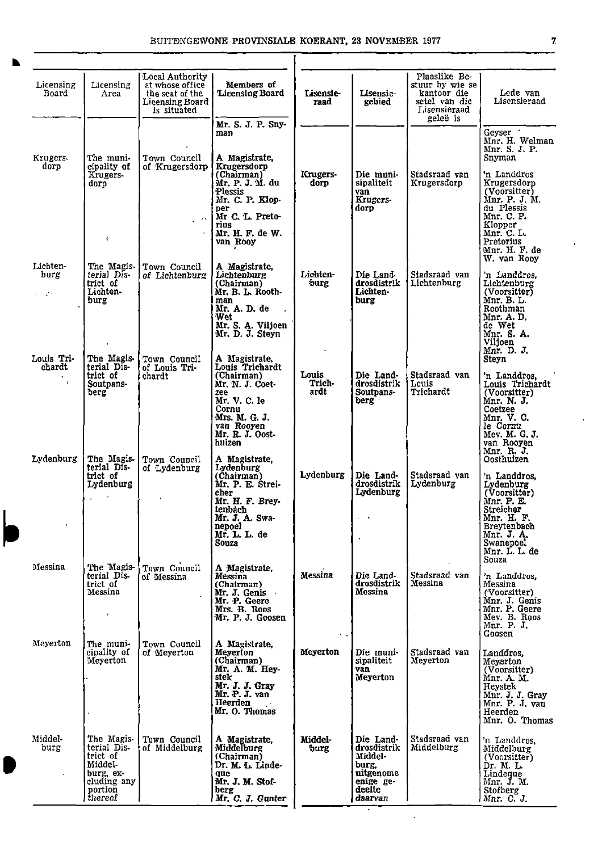|<br>|<br>|

IP

| Licensing<br>Board                   | Licensing<br>Area                                                                                  | Local Authority  <br>at whose office<br>the seat of the<br>Licensing Board<br>is situated | Members of<br>Licensing Board                                                                                                                                 | Lisensie-<br>raad       | Lisensie-<br>gebied                                                                         | Plaaslike Be-<br>stuur by wie se<br>kantoor die<br>setel van die<br>Lisensieraad<br>geleë is | Lede van<br>Lisensieraad                                                                                                                                                |
|--------------------------------------|----------------------------------------------------------------------------------------------------|-------------------------------------------------------------------------------------------|---------------------------------------------------------------------------------------------------------------------------------------------------------------|-------------------------|---------------------------------------------------------------------------------------------|----------------------------------------------------------------------------------------------|-------------------------------------------------------------------------------------------------------------------------------------------------------------------------|
|                                      |                                                                                                    |                                                                                           | Mr. S. J. P. Sny-<br>man                                                                                                                                      |                         |                                                                                             |                                                                                              | Geyser '<br>Mnr. H. Welman<br>Mnr. S. J. P.                                                                                                                             |
| Krugers-<br>dorp                     | The muni-<br>cipality of<br>Krugers-<br>dorp<br>4                                                  | Town Council<br>of Krugersdorp                                                            | A Magistrate,<br>Krugersdorp<br>(Chairman)<br>Mr. P. J. M. du<br>Plessis<br>Mr. C. P. Klop-<br>per<br>Mr C. L. Preto-<br>rius<br>Mr. H. F. de W.<br>van Rooy  | Krugers-<br>dorp        | Die muni-<br>sipaliteit<br>van<br>Krugers-<br>dorp                                          | Stadsraad van<br>Krugersdorp                                                                 | Snyman<br>'n Landdros<br>Krugersdorp<br>(Voorsitter)<br>Mnr. P. J. M.<br>du Plessis<br>Mnr. C. P.<br>Klopper<br>Mnr. C. L.<br>Pretorius<br>Mnr. H. F. de<br>W. van Rooy |
| Lichten-<br>burg<br>$\epsilon = 250$ | The Magis-<br>terial Dis-<br>trict of<br>Lichten-<br>burg                                          | Town Council<br>of Lichtenburg                                                            | A Magistrate,<br>Lichtenburg<br>(Chairman)<br>Mr. B. L. Rooth-<br>man<br>Mr. A. D. de<br>Wet<br>Mr. S. A. Viljoen<br>Mr. D. J. Steyn                          | Lichten-<br>burg        | Die Land-<br>drosdistrik<br>Lichten -<br>burg                                               | Stadsraad van<br>Lichtenburg                                                                 | 'n Landdros,<br>Lichtenburg<br>(Voorsitter)<br>Mnr. B. L.<br>Roothman<br>Mnr. A. D.<br>de Wet<br>Mnr. S. A.<br>Viljoen<br>Mnr. D. J.                                    |
| Louis Tri-<br>chardt<br>$\mathbf{r}$ | The Magis-<br>terial Dis-<br>trict of<br>Soutpans-<br>berg                                         | Town Council<br>of Louis Tri-<br>chardt                                                   | A Magistrate,<br>Louis Trichardt<br>(Chairman)<br>Mr. N. J. Coet-<br>zee<br>Mr. V. C. le<br>Cornu<br>Mrs. M. G. J.<br>van Rooyen<br>Mr. R. J. Oost-<br>huizen | Louis<br>Trich-<br>ardt | Die Land-<br>drosdistrik<br>Soutpans-<br>berg                                               | Stadsraad van<br>Louis<br>Trichardt                                                          | Steyn<br>'n Landdros.<br>Louis Trichardt<br>(Voorsitter)<br>Mnr. N. J.<br>Coetzee<br>Mnr. V. C.<br>le Cornu<br>Mev. M. G. J.<br>van Rooyen<br>Mnr. R. J.                |
| Lydenburg                            | The Magis-<br>terial Dis-<br>trict of<br>Lydenburg                                                 | Town Council<br>of Lydenburg                                                              | A Magistrate,<br>Lydenburg<br>(Chairman)<br>Mr. P. E. Strei-<br>cher<br>Mr. H. F. Brey-<br>tenbach<br>Mr. J. A. Swa-<br>nepoel<br>Mr. L. L. de<br>Souza       | Lydenburg               | Die Land-<br>drosdistrik<br>Lydenburg                                                       | Stadsraad van<br>Lydenburg                                                                   | Oosthuizen<br>'n Landdros.<br>Lydenburg<br>(Voorsitter)<br>Mnr. P. E.<br>Streicher<br>Mnr. H. F.<br>Breytenbach<br>Mnr. J. A.<br>Swanepoel<br>Mnr. L. L. de<br>Souza    |
| Messina                              | The Magis-<br>terial Dis-<br>trict of<br>Messina<br>$\bullet$                                      | Town Council<br>of Messina                                                                | A Magistrate,<br>Messina<br>(Chairman)<br>Mr. J. Genis<br>Mr. P. Geere<br>Mrs. B. Roos<br>Mr. P. J. Goosen                                                    | Messina                 | Die Land-<br>drosdistrik<br>Messina                                                         | Stadsraad van<br>Messina                                                                     | 'n Landdros,<br>Messina<br>(Voorsitter)<br>Mnr. J. Genis<br>Mnr. P. Geere<br>Mev. B. Roos<br>Mnr. P. J.<br>Goosen                                                       |
| Meyerton                             | The muni-<br>cipality of<br>Meyerton                                                               | Town Council<br>of Meyerton                                                               | A Magistrate.<br>Meverton<br>(Chairman)<br>Mr. A. M. Hey-<br>stek<br>Mr. J. J. Gray<br>Mr. P. J. van<br>Heerden<br>Mr. O. Thomas                              | Meverton                | Die muni-<br>sipaliteit<br>van<br>Meyerton                                                  | Stadsraad van<br>Meyerton                                                                    | Landdros,<br>Meyerton<br>(Voorsitter)<br>Mnr. A. M.<br>Heystek<br>Mnr. J. J. Gray<br>Mnr. P. J. van<br>Heerden<br>Mnr. O. Thomas                                        |
| Middel-<br>burg                      | The Magis-<br>terial Dis-<br>trict of<br>Middel-<br>burg, ex-<br>cluding any<br>portion<br>thereof | Town Council<br>of Middelburg                                                             | A Magistrate,<br>Middelburg<br>(Chairman)<br>Dr. M. L. Linde-<br>que<br>Mr. J. M. Stof-<br>berg<br>Mr. C. J. Gunter                                           | Middel-<br>burg         | Die Land-<br>drosdistrik<br>Middel-<br>burg,<br>uitgenome<br>enige ge-<br>deelte<br>daarvan | Stadsraad van<br>Middelburg                                                                  | n Landdros,<br>Middelburg<br>(Voorsitter)<br>Dr. M. L.<br>Lindeque<br>Mnr. J. M.<br>Stofberg<br>Mnr. C. J.                                                              |

 $\mathcal{A}$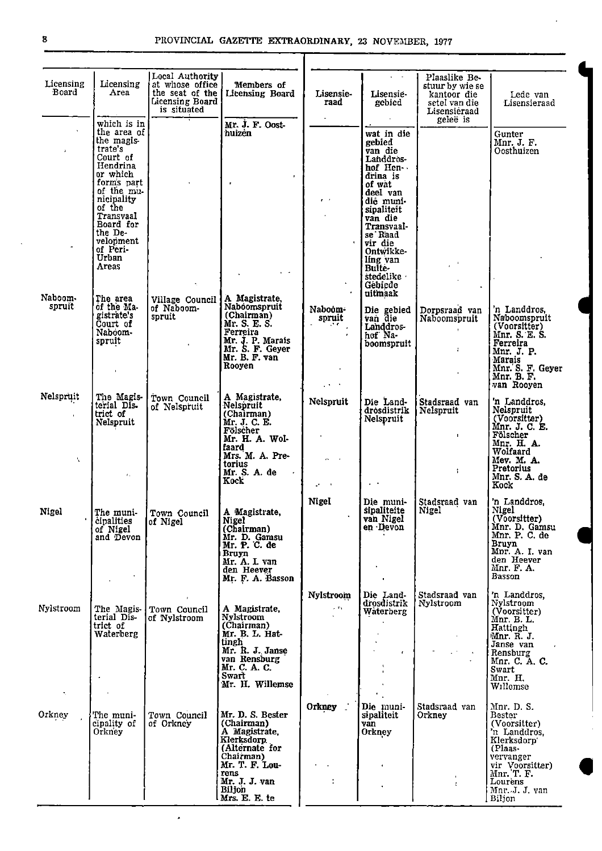| Licensing<br>Board | Licensing<br>Area                                                                                                                                                                                                           | Local Authority<br>at whose office<br>the seat of the<br>Licensing Board<br>is situated | Members of<br>Licensing Board                                                                                                                                              | Lisensie-<br>raad                 | $\mathbf{r} = \mathbf{r}$<br>Lisensie-<br>gebied                                                                                                                                                                                            | Plaaslike Be-<br>stuur by wie se<br>kantoor die<br>setel van die<br>Lisensieraad | Lede van<br>Lisensieraad                                                                                                                                            |
|--------------------|-----------------------------------------------------------------------------------------------------------------------------------------------------------------------------------------------------------------------------|-----------------------------------------------------------------------------------------|----------------------------------------------------------------------------------------------------------------------------------------------------------------------------|-----------------------------------|---------------------------------------------------------------------------------------------------------------------------------------------------------------------------------------------------------------------------------------------|----------------------------------------------------------------------------------|---------------------------------------------------------------------------------------------------------------------------------------------------------------------|
|                    | which is in<br>the area of<br>the magis-<br>trate's<br>Court of<br>Hendrina<br>or which<br>forms part<br>of the mu-<br>nicipality<br>of the<br>Transvaal<br>Board for<br>the De-<br>velopment<br>of Peri-<br>Urban<br>Areas |                                                                                         | Mr. J. F. Oost-<br>huizėn<br>$\bullet$                                                                                                                                     |                                   | wat in die<br>gebied<br>van die<br>Landdros-<br>hof Hen<br>drina is<br>of wat<br>deel van<br>die muni-<br>sipaliteit<br>van die<br>Transvaal-<br>se Raad<br>vir die<br>Ontwikke-<br>ling van<br>Bulte-<br>stedelike ·<br>Gebiede<br>uitmaak | geleë is<br>$\sim$ 6 $\,$                                                        | Gunter<br>Mnr. J. F.<br>Oosthuizen                                                                                                                                  |
| Naboom.<br>spruit  | The area<br>of the Ma-<br>gistrate's<br>Court of<br>Naboom-<br>spruit                                                                                                                                                       | Village Council<br>of Naboom-<br>spruit                                                 | A Magistrate,<br>Naboomspruit<br>(Chairman)<br>Mr. S. E. S.<br>Ferreira<br>Mr. J. P. Marais<br>Mr. S. F. Geyer<br>Mr. B. F. van<br>Rooyen                                  | Naboom-<br>spruit                 | Die gebied<br>van die<br>Landdros-<br>hof Na-<br>boomspruit                                                                                                                                                                                 | Dorpsraad van<br>Naboomspruit<br>÷.                                              | 'n Landdros,<br>Naboomspruit<br>(Voorsitter)<br>Mnr. S. E. S.<br>Ferreira<br>Mnr. J. P.<br>Marais<br>Mnr. S. F. Geyer<br>Mnr. B. F.<br>van Rooyen                   |
| Nelspruit<br>A.    | The Magis-<br>terial Dis-<br>trict of<br>Nelspruit<br>$\mathbf{r}_\mathrm{in}$                                                                                                                                              | Town Council<br>of Nelspruit                                                            | A Magistrate,<br>Nelspruit<br>(Chairman)<br>Mr. J. C. E.<br>Fölscher<br>Mr. H. A. Wol-<br>faard<br>Mrs. M. A. Pre-<br>torius<br>Mr. S. A. de<br>Kock                       | Nelspruit                         | Die Land-<br>drosdistrik<br>Nelspruit                                                                                                                                                                                                       | Stadsraad van<br>Nelspruit<br>$\mathbf{I}$<br>$\ddot{\phantom{a}}$               | 'n Landdros,<br>Nelspruit<br>(Voorsitter)<br>Mnr. J. C. E.<br>Fölscher<br>Mnr. H. A.<br>Wolfaard<br>Mev. M. A.<br>Pretorius<br>Mnr. S. A. de<br>Kock                |
| Nigel              | The muni-<br>cipalities<br>of Nigel<br>and Devon                                                                                                                                                                            | Town Council<br>of Nigel                                                                | A Magistrate,<br><b>Nigel</b><br>(Chairman)<br>Mr. D. Gamsu<br>Mr. P. C. de<br>Bruyn<br>Mr. A. I. van<br>den Heever<br>Mr. F. A. Basson                                    | Nigel                             | Die muni-<br>sipaliteite<br>van Nigel<br>en Devon                                                                                                                                                                                           | Stadsraad van<br>Nigel                                                           | 'n Landdros.<br>Nigel<br>(Voorsitter)<br>Mnr. D. Gamsu<br>Mnr. P. C. de<br>Bruyn<br>Mnr. A. I. van<br>den Heever<br>Mnr. F. A.<br>Basson                            |
| Nylstroom<br>٦.    | The Magis-<br>terial Dis-<br>trict of<br>Waterberg                                                                                                                                                                          | Town Council<br>of Nylstroom                                                            | A Magistrate,<br>Nylstroom<br>(Chairman)<br>Mr. B. L. Hat-<br>tingh<br>Mr. R. J. Janse<br>van Rensburg<br>Mr. C. A. C.<br>Swart<br>Mr. H. Willemse                         | Nylstroom<br>$\sim 7\,\mathrm{s}$ | Die Land-<br>drosdistrik<br>Waterberg<br>$\ddot{\bullet}$                                                                                                                                                                                   | Stadsraad van<br>Nylstroom                                                       | 'n Landdros.<br>Nylstroom<br>(Voorsitter)<br>Mnr. B. L.<br>Hattingh<br>Mnr. R. J.<br>Janse van<br>Rensburg<br>Mnr. C. A. C.<br>Swart<br>Mnr. H.<br>Willemse         |
| Orkney             | The muni-<br>cipality of<br>Orkney                                                                                                                                                                                          | Town Council<br>of Orkney                                                               | Mr. D. S. Bester<br>(Chairman)<br>A Magistrate,<br>Klerksdorp.<br>(Alternate for<br>Chairman)<br>Mr. T. F. Lou-<br>rens<br>Mr. J. J. van<br><b>Biljon</b><br>Mrs. E. E. te | Orkney _                          | Die muni-<br>sipaliteit<br>van<br>Orkney                                                                                                                                                                                                    | Stadsraad van<br>Orkney<br>ŧ.                                                    | Mnr. D. S.<br>Bester<br>(Voorsitter)<br>'n Landdros,<br>Klerksdorp'<br>(Plaas-<br>vervanger<br>vir Voorsitter)<br>Mnr. T. F.<br>Lourens<br>Mnr. J. J. yan<br>Biljon |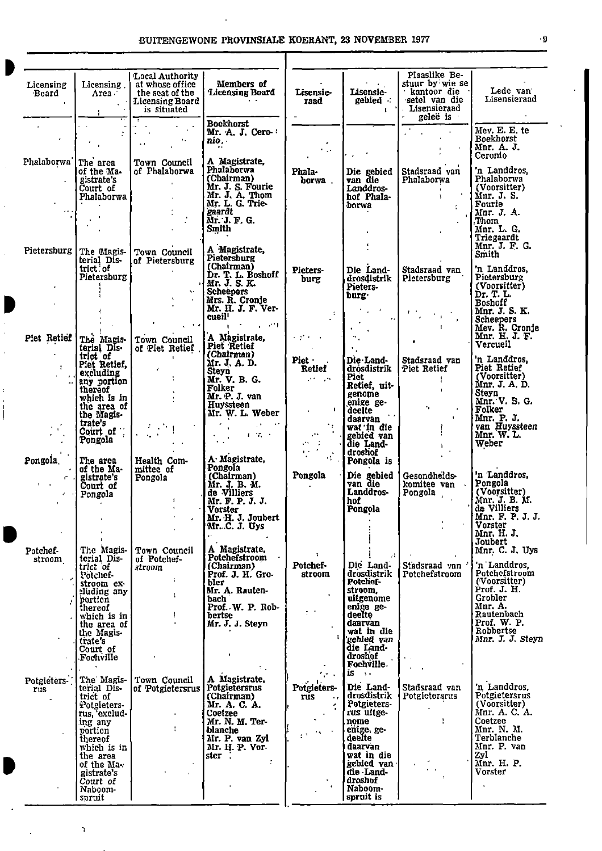| Licensing<br>Board<br>$\mathbf{r}$                        | Licensing.<br>Area<br>$\mathbf{A}^{\mathrm{eff}}$                                                                                                                                                    | <b>Local Authority</b><br>at whose office<br>the seat of the<br><b>Licensing Board</b><br>is situated | Members of<br>Licensing Board                                                                                                                                                                                                                                                                                                                                                                                  | Lisensie-<br>raad                                                                                                                                                                                                               | Lisensie-<br>gebied :<br>$\blacksquare$                                                                                                                                                          | Plaaslike Be-<br>stuur by wie se<br>hantoor die<br>setel van die<br>Lisensieraad<br>gelee is       | Lede van<br>Lisensieraad                                                                                                                                                            |
|-----------------------------------------------------------|------------------------------------------------------------------------------------------------------------------------------------------------------------------------------------------------------|-------------------------------------------------------------------------------------------------------|----------------------------------------------------------------------------------------------------------------------------------------------------------------------------------------------------------------------------------------------------------------------------------------------------------------------------------------------------------------------------------------------------------------|---------------------------------------------------------------------------------------------------------------------------------------------------------------------------------------------------------------------------------|--------------------------------------------------------------------------------------------------------------------------------------------------------------------------------------------------|----------------------------------------------------------------------------------------------------|-------------------------------------------------------------------------------------------------------------------------------------------------------------------------------------|
| $\epsilon$                                                | $\mathcal{F}_{\text{max}}$                                                                                                                                                                           | $\sim$ 10 $\pm$<br>$\sim$<br>$\sim$ $\sim$                                                            | <b>Boekhorst</b><br>Mr. A. J. Cero<br>nio .                                                                                                                                                                                                                                                                                                                                                                    | $\sim 100$                                                                                                                                                                                                                      |                                                                                                                                                                                                  |                                                                                                    | Mev. E. E. te<br>Boekhorst<br>Mnr. A. J.                                                                                                                                            |
| Phalaborwa<br>$\Delta \Delta \sim$                        | The area<br>of the Ma-<br>gistrate's<br>Court of<br>Phalaborwa                                                                                                                                       | Town Council<br>of Phalaborwa                                                                         | A Magistrate,<br>Phalahorwa<br>(Chairman)<br>Mr. J. S. Fourie<br>Mr. J. A. Thom<br>Mr. L. G. Trie-<br>gaardt<br>Mr. J. F. G.<br>Smith                                                                                                                                                                                                                                                                          | Phala-<br>borwa.                                                                                                                                                                                                                | Die gebied<br>van die<br>Landdros-<br>hof Phala-<br>borwa                                                                                                                                        | Stadsraad van<br>Phalaborwa<br>$\mathbf{L}$                                                        | Ceronio<br>'n Landdros,<br>Phalaborwa<br>(Voorsitter)<br>Mnr. J. S.<br>Fourie<br>Mnr. J. A.<br>Thom<br>Mnr. L. G.<br>Triegaardt                                                     |
| Pietersburg                                               | The Magis-<br>terial Dis-<br>trict of<br>Pietersburg                                                                                                                                                 | Town Council<br>of Pietersburg<br>$\mathbf{v}$ .<br>$\sim$ $\sigma$                                   | A Magistrate,<br>Pietersburg<br>(Cha <b>irman</b> )<br>Dr. T. L. Boshoff<br>Mr. J. S. K.<br><b>Scheepers</b><br>Mrs. R. Cronje<br>Mr. H. J. F. Ver-<br>cueil <sup>1</sup><br><b>Carl Ford Control</b>                                                                                                                                                                                                          | Pieters-<br>burg<br>$\Delta \phi$<br>$\sim$                                                                                                                                                                                     | $\mathbf{f}$<br>Die Land-<br>drosdistrik<br>Pieters-<br>burg ·<br>$\sigma_{\rm{max}}=4.5$<br>$\ddot{\phantom{a}}$                                                                                | Stadsraad van<br>Pietersburg<br>$\left(\mathcal{F}_{\mathcal{F}}^{(k)}\right)_{k\in\mathbb{N}}$    | Mnr. J. F. G.<br>Smith<br>'n Landdros.<br>Pietersburg<br>(Voorsitter)<br>Dr. T. L.<br>Boshoff<br>Mnr. J. S. K.<br>Scheepers<br>Mev. R. Cronje                                       |
| T.<br>$\sim$ 4<br>$\mathbf{r}$                            | Piet Retief The Magis-<br>terial Dis-<br>trict of<br>Piet Retief,<br>excluding<br>any portion<br>thereof<br>which is $in$<br>the area of  <br>the Magis-<br>trate's<br>$\overline{\text{Court}}$ of  | Town Council<br>of Piet Retief<br>$\epsilon$<br>$\left(\frac{1}{2},\frac{1}{2}\right)$                | A Magistrate,<br>Piet Retief<br>(Chairman)<br>Mr. J. A. D.<br><b>Steyn</b><br>Mr. V. B. G.<br>Folker<br>Mr. P. J. van<br>Huvssteen<br>Mr. W. L. Weber<br>$\label{eq:2} \begin{array}{c} \mathcal{L}_{\text{eff}}^{\text{obs}} = \mathcal{L}_{\text{eff}}^{\text{obs}} \mathcal{L}_{\text{eff}}^{\text{obs}} \\ \mathcal{L}_{\text{eff}}^{\text{obs}} = 0.76 \mathcal{L}_{\text{eff}}^{\text{obs}} \end{array}$ | $\lambda$ group of $\lambda$<br>$Pic \cdot$ .<br>Retief<br>$\sim 10^{11}$ kpc<br>$\mathbf{I}$<br>$\mathcal{L}^{\mathcal{L}}$ and $\mathcal{L}^{\mathcal{L}}$ and $\mathcal{L}^{\mathcal{L}}$<br>$\epsilon_{\rm{B}}$<br>المستحقق | $\sim 100$ km s $^{-1}$<br>$\alpha_{\rm{in}}$<br>Die Land-<br>drosdistrik<br><b>Pict</b><br>Retief, uit-<br>genome<br>enige ge-<br>deelte<br>daarvan<br>wat in die  <br>gebied van               | Stadsraad van<br>Piet Retief<br>$\mathbf{r}$<br>$\sigma_{\rm 0}$ .<br>$\mathbf{r}$<br>$\mathbf{L}$ | Mnr. H. J. F.<br>Vercueil<br>'n Landdros,<br>Piet Retief<br>(Voorsitter)<br>Mnr. J. A. D.<br>Steyn<br>Mnr. V. B. G.<br>Folker<br>Mnr. P. J.<br>van Huyssteen<br>Mnr. W. L.          |
| Pongola.<br>$\mathbf{F} = \mathbf{F} \mathbf{F}$<br>أنفاح | Pongola<br>The area<br>$\cdot$ of the Ma-<br>$\lceil$ gistrate's<br>Court of<br>Pongola                                                                                                              | Health Com-<br>mittee of<br>Pongola<br>$\mathbf{I}$<br>$\boldsymbol{A}$                               | A Magistrate,<br>Pongola<br>(Chairman)<br>Mr. J. B. M.<br>de Villiers<br>Mr. F. P. J. J.<br>Vorster<br>Mr. H. J. Joubert<br>Mr. C. J. Uys                                                                                                                                                                                                                                                                      | $\mathcal{L}(\mathbf{r}) = \mathcal{L}(\mathbf{r})$<br>$\mathcal{O}(\mathcal{I})$<br>$\mathcal{A}^{\mathcal{A}}$<br>Pongola                                                                                                     | die Land-<br>droshof<br>Pongola is<br>Die gebied<br>van die<br>Landdros-<br>hof<br>Pongola                                                                                                       | Gesondheids-<br>komitee van<br>Pongola<br>$\blacksquare$                                           | Weber<br>'n Landdros,<br>Pongola<br>(Voorsitter)<br>Mnr. J. B. M.<br>de Villiers<br>Mnr. F. P. J. J.<br>Vorster<br>Mnr. H. J.                                                       |
| Potchef-<br>stroom                                        | The Magis-<br>terial Dis-<br>trict of<br>Potchef-<br>stroom ex-<br>eluding any<br>portion<br>thereof<br>which is in<br>the area of<br>the Magis-<br>trate's<br>Court of<br>Fochville                 | Town Council<br>of Potchef-<br>stroom<br>÷.<br>T.                                                     | A Magistrate,<br>Potchefstroom<br>(Chairman)<br>Prof. J. H. Gro-<br>bler<br>Mr. A. Rauten-<br>bach<br>Prof. W. P. Rob-<br>bertse<br>Mr. J. J. Steyn<br>÷.                                                                                                                                                                                                                                                      | ۲.<br>Potchef-<br>stroom<br>$\mathcal{C}^{(1)}$                                                                                                                                                                                 | Die Land-<br>drosdistrik<br>Potchef-<br>stroom.<br>uitgenome<br>enige ge-<br>deelte<br>daarvan<br>wat in die<br>gebied van<br>die Land-<br>droshof<br>Fochville.                                 | Stadsraad van<br>Potchefstroom                                                                     | Joubert<br>Mnr. C. J. Uys<br>n Landdros,<br><b>Potchefstroom</b><br>(Voorsitter)<br>Prof. J. H.<br>Grobler<br>Mnr. A.<br>Rautenbach<br>Prof. W. P.<br>Robbertse<br>Mnr. J. J. Steyn |
| Potgieters 7<br><b>rus</b>                                | The Magis-<br>terial Dis-<br>trict of<br>Potgieters-<br>rus, exclud-<br>ing any<br>portion<br>thereof<br>which is in<br>the area<br>of the Ma $\cdot$<br>gistrate's<br>Court of<br>Naboom-<br>spruit | Town Council<br>of Potgietersrus<br>$\blacksquare$<br>÷                                               | A Magistrate,<br>Potgietersrus<br>(Chairman)<br>Mr. A. C. A.<br>Coetzee<br>Mr. N. M. Ter-<br>blanche<br>Mr. P. van Zyl<br>Mr. H. P. Vor-<br>ster                                                                                                                                                                                                                                                               | <b>Contract</b><br>Potgieters-<br><b>rus</b><br>$\cdot$                                                                                                                                                                         | $is \rightarrow$<br>Die Land-<br>drosdistrik<br>Potgieters-<br>rus uitge-<br>nome<br>enige, ge-<br>deelte<br>daarvan<br>wat in die<br>gebied van<br>die Land-<br>droshof<br>Naboom-<br>spruit is | Stadsraad van<br>Potgietersrus<br>ŧ                                                                | 'n Landdros.<br>Potgietersrus<br>(Voorsitter)<br>Mnr. A. C. A.<br>Coetzee<br>Mnr. N. M.<br>Terblanche<br>Mnr. P. van<br>ZyL<br>Mnr. H. P.<br>Vorster                                |

.

 $\gamma$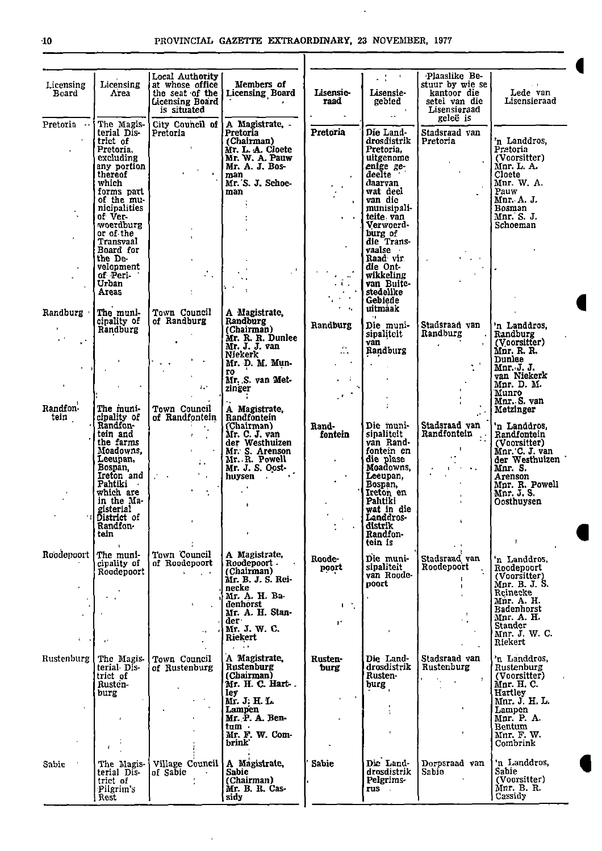$\ddot{\phantom{a}}$ 

| Licensing<br>Board                          | Licensing<br>Атеа                                                                                                                                                                        | Local Authority<br>at whose office<br>the seat of the<br>Licensing Board<br>is situated                                                                                      | Members of<br><b>Licensing Board</b>                                                                                                                                 | Lisensie-<br>raad                                                       | $2.3 - 1.$<br>Lisensie-<br>gebied<br>$\mathbb{Z}^{n-1}$                                                                                                                                                                                                                   | Plaaslike Be-<br>stuur by wie se<br>kantoor die<br>setel van die<br>Lisensieraad<br>geleë is                      | $\sim 10$<br>Lede van<br>Lisensieraad                                                                                                                                                                  |
|---------------------------------------------|------------------------------------------------------------------------------------------------------------------------------------------------------------------------------------------|------------------------------------------------------------------------------------------------------------------------------------------------------------------------------|----------------------------------------------------------------------------------------------------------------------------------------------------------------------|-------------------------------------------------------------------------|---------------------------------------------------------------------------------------------------------------------------------------------------------------------------------------------------------------------------------------------------------------------------|-------------------------------------------------------------------------------------------------------------------|--------------------------------------------------------------------------------------------------------------------------------------------------------------------------------------------------------|
| Pretoria<br>$ -$                            | The Magis-<br>terial Dis-<br>trict of<br>Pretoria,<br>excluding<br>any portion<br>thereof<br>which<br>forms part<br>of the mu-                                                           | City Council of<br>Pretoria<br>$\mathbf{r}$                                                                                                                                  | A Magistrate, -<br>Pretoria<br>(Chairman)<br>Mr. L. A. Cloete<br>Mr. W. A. Pauw<br>Mr. A. J. Bos-<br>man<br>Mr. S. J. Schoe-<br>man                                  | Pretoria                                                                | Die Land-<br>drosdistrik<br>Pretoria.<br>uitgenome<br>enige ge-<br>deelte<br>daarvan<br>wat deel<br>van die                                                                                                                                                               | Stadsraad van<br>Pretoria                                                                                         | 'n Landdros,<br>Pretoria<br>(Voorsitter)<br>Mnr. L. A.<br>Cloete<br>Mnr. W. A.<br>Pauw<br>Mnr. A. J.                                                                                                   |
|                                             | nicipalities<br>of Ver-<br>woerdburg<br>or of the<br>Transvaal<br>Board for<br>the De-<br>velopment<br>of Peri-<br>Urban<br>Areas                                                        | $\mathbf{r}$                                                                                                                                                                 |                                                                                                                                                                      | $\mathbb{R}^n$                                                          | munisipali-<br>teite van<br>Verwoord-<br>burg of<br>die Trans<br>vaalse<br>Raad vir<br>die Ont-<br>wikkeling<br>van Buite-<br>stedelike                                                                                                                                   | <b>Contractor</b>                                                                                                 | Bosman<br>Mnr. S. J.<br>Schoeman                                                                                                                                                                       |
| Randburg<br>$\mathbf{r}^{(k)}$<br>$\sim$ 11 | The muni-<br>cipality of<br>Randburg                                                                                                                                                     | Town Council<br>of Randburg<br>$\blacksquare$                                                                                                                                | A Magistrate,<br>Randburg<br>(Chairman)<br>Mr. R. R. Dunlee<br>Mr. J. J. van<br>Niekerk<br>Mr. D. M. Mun-<br>ro.<br>Mr. S. van Met-                                  | Randburg<br>$\mathcal{L}_{\mathcal{F}}$ .<br>$\cdots$ .<br>$\epsilon=4$ | Gebiede<br>uitmaak<br>$\epsilon_{\rm B}$<br>Die muni-<br>sipaliteit<br>van<br>Randburg                                                                                                                                                                                    | Stadsraad van<br>Randburg<br>$\bullet$<br>$\mathbf{r}$                                                            | 'n Landdros,<br>Randburg<br>(Voorsitter)<br>Mnr. R. R.<br>Dunlee<br>Mnr. J. J.<br>van Niekerk                                                                                                          |
| $\mathbf{L}$<br>Randfon-<br>tein            | The muni-<br>cipality of<br>Randfon-<br>tein and<br>the farms<br>Moadowns,<br>Leeupan,<br>Bospan,<br>Ireton and $\vert \cdot \vert$ .<br>Pahtiki<br>which are<br>in the Ma-<br>gisterial | $\mathcal{A}$ , $\mathcal{A}$<br>Town Council<br>of Randfontein<br>$\mathbf{f} = \mathbf{f}$<br>$\mathbf{r} = \mathbf{r}$ .<br>$\mathbf{L}$ .<br>$\mathcal{F}_{\mathcal{A}}$ | zinger<br>A Magistrate,<br>Randfontein<br>(Chairman)<br>Mr. C. J. van<br>der Westhuizen<br>Mr. S. Arenson<br>Mr. R. Powell<br>Mr. J. S. Oost-<br>huysen<br>$\bullet$ | $\mathcal{F}$<br>Rand-<br>fontein                                       | ÷<br>Die muni-<br>sipaliteit<br>van Rand-<br>fontein en<br>die plase<br>Moadowns,<br>Leeupan,<br>Bospan,<br>Ireton en<br>Pahtiki<br>wat in die                                                                                                                            | $\mathcal{A}^{\mathcal{A}}$<br>Stadsraad van<br>Randfontein<br>$\mathbf{I}$<br>$\mathbf{A}=\mathbf{A}+\mathbf{A}$ | Mpr. D. M.<br>Munro<br>Mnr. S. van<br>Metzinger<br>'n Landdros,<br>Randfontein<br>(Voorsitter)<br>Mnr. C. J. van<br>der Westhuizen<br>Mnr. S.<br>Arenson<br>Mnr. R. Powell<br>Mnr. J. S.<br>Oosthuysen |
| Roodepoort                                  | District of<br>Randfon-<br>tein<br>$\mathbf{I}$<br>The muni-                                                                                                                             | Town Council<br>of Roodepoort                                                                                                                                                | A Magistrate,<br>Roodepoort -                                                                                                                                        | Roode-                                                                  | Landdros-<br>distrik<br>Randfon-<br>tein is<br>Die muni-                                                                                                                                                                                                                  | Stadsraad van                                                                                                     | ł.<br>'n Landdros,                                                                                                                                                                                     |
| $\tilde{\P}$ .                              | cipality of<br>Roodepoort<br>$\sim$ 10 $\pm$<br>$\mathbf{r}$                                                                                                                             | $\mathbf{L}^{\text{max}}$<br>$\sim 100$<br>$\mathbf{r}$                                                                                                                      | (Chairman)<br>Mr. B. J. S. Rei-<br>necke<br>Mr. A. H. Ba-<br>denhorst<br>Mr. A. H. Stan-<br>der -<br>Mr. J. W. C.<br>Riekert<br>$\omega_{\rm c} \sim 100$            | poort<br>$1.1\%$<br>v.                                                  | sipaliteit<br>van Roode-<br>poort                                                                                                                                                                                                                                         | Roodepoort<br>$\mathbf{I}$<br>$\mathcal{A}$<br>٠.                                                                 | Roodepoort<br>(Voorsitter)<br>Mnr. B. J. S.<br>Reinecke<br>Mnr. A. H.<br><b>Badenhorst</b><br>Mnr. A. H.<br><b>Stander</b><br>Mnr. J. W. C.<br>Riekert                                                 |
| Rustenburg                                  | The Magis-<br>terial Dis-<br>trict of<br>Rusten-<br>burg                                                                                                                                 | Town Council<br>of Rustenburg                                                                                                                                                | A Magistrate.<br>Rustenburg<br>(Chairman)<br>Mr. H. C. Hart-<br>ley.<br>Mr. J. H. L.<br>Lampen<br>Mr. P. A. Ben-<br>tum ·<br>Mr. F. W. Com-<br>brink <sup>'</sup>    | Rusten-<br>burg                                                         | Die Land-<br>drosdistrik<br>Rusten-<br>burg<br>÷<br>$\bullet$                                                                                                                                                                                                             | Stadsraad van<br>Rustenburg<br>$\mathbf{r}$                                                                       | 'n Landdros,<br>Rustenburg<br>(Voorsitter)<br>Mnr. H. C.<br>Hartley<br>Mnr. J. H. L.<br>Lampen<br>Mnr P.A.<br>Bentum<br>Mnr F.W.<br>Combrink                                                           |
| Sabie                                       | $\mathbf{f}$<br>The Magis<br>terial Dis-<br>trict of<br>Pilgrim's<br>Rest                                                                                                                | Village Council<br>of Sabic                                                                                                                                                  | A Magistrate,<br>Sabie<br>(Chairman)<br>Mr. B. R. Cas-<br>sidy                                                                                                       | <b>Sabie</b>                                                            | Die Land<br>drosdistrik<br>Pelgrims-<br>rus turned and the set of the set of the set of the set of the set of the set of the set of the set of the set o<br>Set of the set of the set of the set of the set of the set of the set of the set of the set of the set of the | Dorpsraad van<br>Sabie                                                                                            | 'n Landdros,<br>Sabie<br>(Voorsitter)<br>Mnr. B. R.<br>Cassidy                                                                                                                                         |

•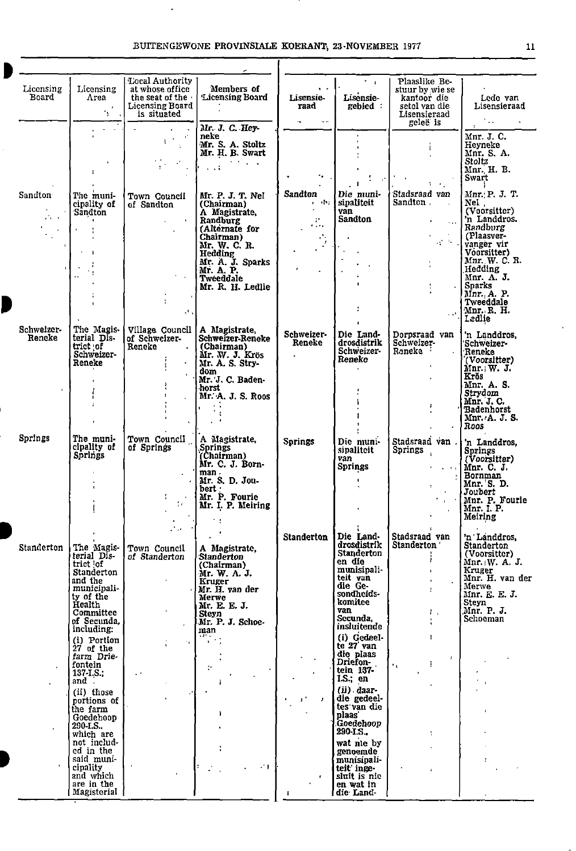## BUITENGEWONE PROVINSIALE KOERANT, 23 NOVEMBER 1977 11 T

 $\ddot{\phantom{1}}$ 

0

| Licensing<br>Board          | Licensing<br>Area<br>$\mathcal{F}$<br>. د                                                                                                                    | Local Authority<br>at whose office<br>the seat of the<br>Licensing Board<br>is situated | Members of<br><b>Licensing Board</b>                                                                                                                                                         | $\mathbf{v}$<br><b>Lisensie</b><br>raad<br>$\sim 100$<br>$\sim$ $-$                                                                                          | $\sim$<br>Lisensie-<br>gebied:                                                                                                                              | Plaaslike Be-<br>stuur by wie se<br>kantoor die<br>setel van die<br>Lisensieraad<br>geleë is                                 | Lede van<br>Lisensieraad<br>Paalin                                                                                                                                                                                                            |
|-----------------------------|--------------------------------------------------------------------------------------------------------------------------------------------------------------|-----------------------------------------------------------------------------------------|----------------------------------------------------------------------------------------------------------------------------------------------------------------------------------------------|--------------------------------------------------------------------------------------------------------------------------------------------------------------|-------------------------------------------------------------------------------------------------------------------------------------------------------------|------------------------------------------------------------------------------------------------------------------------------|-----------------------------------------------------------------------------------------------------------------------------------------------------------------------------------------------------------------------------------------------|
|                             |                                                                                                                                                              | $\sim 15$<br>$\mathbf{r}^{(2)}$<br>$\pm$                                                | Mr. J. C. Hey-<br>neke<br>Mr. S. A. Stoltz<br>Mr. H. B. Swart<br><b>CALL CONTRACTOR</b><br>$\sim 10^{-10}$                                                                                   | 76 L.<br>$\bullet$                                                                                                                                           | $\mathcal{I}=\mathcal{I}$                                                                                                                                   |                                                                                                                              | Mnr. J. C.<br>Heyneke<br>Mnr. S. A.<br>Stoltz<br>Mnr. H. B.<br>Swart                                                                                                                                                                          |
| Sandton<br>$\sim$<br>ala ku | The muni-<br>cipality of<br><b>Sandton</b><br>$\mathbf{r}$                                                                                                   | Town Council<br>of Sandton<br><b>Contract</b><br>$\mathcal{O}(\mathcal{A})$             | Mr. P. J. T. Nel<br>(Chairman)<br>A Magistrate,<br>Randburg<br>(Alternate for<br>Chairman)<br>Mr. W. C. R.<br>Hedding<br>Mr. A. J. Sparks<br>Mr. A. P.<br>Tweeddale<br>Mr. R. H. Ledlie      | Sandton<br>a seri<br>$\mathcal{L}_{\mathcal{A}}$<br>œ.<br>$\mathbf{r}$ , $\mathbf{r}$ ,<br>$\mathcal{L}^{\mathcal{A}}$ .<br>Ţ,<br>$\mathbf{r}$<br>$\epsilon$ | Die muni-<br>sipaliteit<br>van<br><b>Sandton</b><br>$\sim$<br>$\Delta$<br>$\ddot{\phantom{a}}$<br>$\blacksquare$                                            | Stadsraad van<br>Sandton<br>$\mathcal{F}^{\text{max}}_{\text{max}}$ , where<br>13 G J<br>÷<br>$\ddot{\phantom{a}}$<br>$\sim$ | $\mathcal{F}$<br>Mnr. P. J. T.<br>Nel .<br>(Voorsitter)<br>'n Landdros.<br>Randburg<br>(Plaasver-<br>vanger vir<br>Voorsitter)<br>Mnr. W. C. R.<br>Hedding<br>Mnr. A. J.<br><b>Sparks</b><br>Mnr., A. P.<br>Tweeddale<br>Mnr. R. H.<br>Ledlie |
| Schweizer-<br>Rencke        | The Magis-<br>terial Dis-<br>trict of<br>Schweizer-<br>Reneke                                                                                                | Village Council<br>of Schweizer-<br>Reneke<br>$\sim$                                    | A Magistrate,<br>Schweizer-Reneke<br>(Chairman)<br>Mr. W. J. Krös<br>Mr. A. S. Stry-<br>dom.<br>Mr. J. C. Baden-<br>horst<br>Mr. A. J. S. Roos<br>$\sim$                                     | Schweizer-<br>Reneke<br>$\ddot{\phantom{0}}$                                                                                                                 | Die Land-<br>drosdistrik<br>Schweizer-<br>Reneko                                                                                                            | Dorpsraad van<br>Schweizer-<br>Reneke                                                                                        | 'n Landdros,<br>Schweizer-<br><b>Teneke</b><br>(Voorsitter)<br>Mnr.; W. J.<br>Krös<br>Mnr. A. S.<br>Strydom<br>Mnr. J. C.<br><b>Badenhorst</b><br>Mnr. A. J. S.<br>Roos                                                                       |
| Springs                     | The muni-<br>cipality of<br>Springs                                                                                                                          | Town Council<br>of Springs<br>t.<br>$\mathcal{L}^{\mathcal{A}}$ and                     | A Magistrate,<br><b>Springs</b><br>(Chairman)<br>Mr. C. J. Born-<br>man.<br>Mr. S. D. Jou-<br>bert ·<br>Mr. P. Fourie<br>Mr. I. P. Meiring<br>÷.                                             | Springs                                                                                                                                                      | Die muni-<br>sipaliteit<br>van<br>Springs<br>$\mathbf{L}$<br>Die Land-                                                                                      | Stadsraad van $\vert$<br><b>Springs</b><br>. <b>.</b><br>Stadsraad van                                                       | 'n Landdros,<br>Springs<br>(Voorsitter)<br>Mnr. C. J.<br>Bornman<br>Mnr. S. D.<br>Joubert<br>$\cdot$ Mnr. P. Fourie<br>Mnr. I. P.<br>Meiring                                                                                                  |
| Standerton                  | The Magis-<br>terial Dis-<br>trict of<br>Standerton<br>and the<br>municipali<br>ty of the<br>Health<br>Committee<br>of Secunda,<br>including:<br>(i) Portion | Town Council<br>of Standerton<br>$\mathbf{r}$<br>11.                                    | A Magistrate,<br><b>Standerton</b><br>(Chairman)<br>Mr. W. A. J.<br>Kruger<br>Mr. H. yan der<br>Merwe<br>Mr. E. E. J.<br>Steyn<br>Mr. P. J. Schoe-<br>man<br>$\overline{u}$ , $\overline{u}$ | <b>Standerton</b>                                                                                                                                            | drosdistrik<br><b>Standerton</b><br>en die<br>munisipali-<br>teit van<br>die Ge-<br>sondheids-<br>komitee<br>van<br>Secunda,<br>insluitende<br>(i) Gedeel-  | <b>Standerton</b><br>Т.,<br>$\mathbf{I}$                                                                                     | 'n Landdros,<br><b>Standerton</b><br>(Voorsitter)<br>Mnr. W. A. J.<br>Kruger<br>Mnr. H. van der<br>Merwe<br>Mnr. E. E. J.<br>Steyn<br>Mnr. P. J.<br>Schoeman                                                                                  |
|                             | $27$ of the<br>farm Drie-<br>fontein<br>137-I.S.;<br>and .<br>(ii) those<br>portions of<br>the farm<br>Goedehoop<br>290-I.S.<br>which are<br>not includ-     |                                                                                         | $\mathbb{C}^{\bullet}$<br>÷<br>Ł                                                                                                                                                             |                                                                                                                                                              | te 27 van<br>die plaas<br>Driefon-<br>tein 137-<br>1.S.; en<br>$(ii)$ daar-<br>die gedeel-<br>tes van die<br>plaas'<br>Goedehoop<br>290-I.S.,<br>wat nie by | $\mathbf{J}$<br>$\mathbf{r}_{\mathrm{in}}$<br>÷                                                                              |                                                                                                                                                                                                                                               |
|                             | ed in the<br>said muni-<br>cipality<br>and which<br>are in the<br>  Magisterial                                                                              |                                                                                         | $-1$                                                                                                                                                                                         |                                                                                                                                                              | genoemde<br>munisipali-<br>teit inge-<br>sluit is nic<br>en wat in<br>die Land-                                                                             |                                                                                                                              |                                                                                                                                                                                                                                               |

 $\cdot$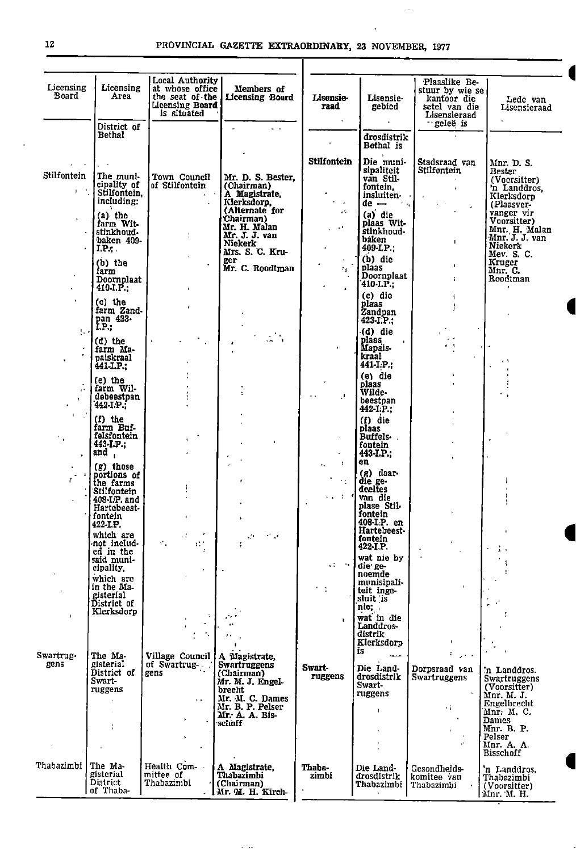•

 $\mathbb{Z}$ 

| Licensing<br>Board                      | Licensing<br>Area                                                        | Local Authority<br>at whose office<br>Licensing Board<br>is situated | Members of<br>the seat of the   Licensing Board                                              | <b>Lisensie-</b><br>raad                | Lisensie-<br>gebied                                                    | Plaaslike Be-<br>stuur by wie se<br>kantoor die<br>setel van die<br>Lisensieraad | Lede van<br>Lisensieraad                                   |
|-----------------------------------------|--------------------------------------------------------------------------|----------------------------------------------------------------------|----------------------------------------------------------------------------------------------|-----------------------------------------|------------------------------------------------------------------------|----------------------------------------------------------------------------------|------------------------------------------------------------|
|                                         | District of<br><b>Bethal</b>                                             |                                                                      | $\overline{a}$                                                                               |                                         | drosdistrik                                                            | geleë is                                                                         |                                                            |
|                                         |                                                                          |                                                                      |                                                                                              |                                         | Bethal is                                                              |                                                                                  |                                                            |
| Stilfontein<br>$1 - \frac{1}{2}$        | The muni-<br>cipality of<br>Stilfontein,                                 | Town Council<br>of Stilfontein                                       | Mr. D. S. Bester,<br>(Chairman)                                                              | <b>Stilfontein</b>                      | Die muni-<br>sipaliteit<br>van Stil-<br>fontein.                       | Stadsraad van<br>Stilfontein<br>$\bullet$                                        | Mnr. D. S.<br>Bester<br>(Vocrsitter)<br>'n Landdros,       |
|                                         | including:<br>$(a)$ the                                                  |                                                                      | A Magistrate,<br>Klerksdorp,<br>(Alternate for                                               | $\overline{\phantom{a}}$<br>τ÷.         | insluiten-<br>$de  \sim$<br>$(a)$ die                                  |                                                                                  | Klerksdorp<br>(Plaasver-<br>vanger vir                     |
| $\epsilon$                              | farm Wit-<br>stinkhoud-<br>baken 409-<br>I.P.                            | t                                                                    | Chairman)<br>Mr. H. Malan<br>Mr. J. J. van<br>Niekerk<br>Mrs. S. C. Kru-                     | $\mathbf{z}$                            | plaas Wit-<br>stinkhoud-<br>baken<br>$409 \cdot L.P.$                  | $\blacksquare$                                                                   | Voorsitter)<br>Mnr. H. Malan<br>Mnr. J. J. van<br>Niekerk  |
|                                         | $(b)$ the<br>farm<br>Doornplaat                                          |                                                                      | ger<br>Mr. C. Roodtman                                                                       | $^{\circ}$                              | $(b)$ die<br>plaas<br>Doornplaat<br>$410-I.P.$                         | $\mathbf{I}$<br>÷.                                                               | Mev. S. C.<br>Kruger<br>$Mnr$ . C.<br>Roodtman             |
| $\mathbf{r}$                            | $410-I.P.$<br>(c) the<br>farm Zand-                                      |                                                                      |                                                                                              |                                         | $(c)$ die<br>plaas<br>Zandpan                                          | ŧ                                                                                |                                                            |
| 574                                     | pan 423-<br>Ϊ.Ρ.,<br>$(d)$ the                                           |                                                                      | $\mathbb{R}^{\mathbb{Z}_2}$                                                                  |                                         | $423 - I.P.;$<br>(d) die<br>plaas<br>$\sim$                            |                                                                                  |                                                            |
| $\cdot$<br>$\pmb{\tau}$<br>$\mathbf{v}$ | farm Ma-<br>paiskraal<br>441-I.P.;                                       |                                                                      |                                                                                              |                                         | Mapais-<br>kraal<br>$441 - I/P$ ;                                      | e s                                                                              |                                                            |
|                                         | (e) the<br>farm Wil-<br>debeestpan<br>442 T.P.                           |                                                                      |                                                                                              | $\mathbf{I}$                            | (e) die<br>plaas<br>Wilde-<br>beestpan<br>$442-I.P.;$                  |                                                                                  |                                                            |
|                                         | $(f)$ the<br>farm Buf-<br>felsfontein<br>443 I.P.;<br>and $\overline{a}$ | $\blacksquare$                                                       |                                                                                              | $\bullet$                               | $(f)$ die<br>plaas<br><b>Buffels-</b><br>fontein<br>$443 \cdot I.P.$ ; |                                                                                  | $\bullet$                                                  |
| $\bullet$<br>$\mathbf{r}$               | (g) those<br>portions of<br>the farms                                    |                                                                      |                                                                                              | $\Lambda$<br>$\ddotsc$<br>$\sim$ $\sim$ | en<br>$(g)$ daar-<br>die ge-                                           |                                                                                  |                                                            |
|                                         | Stilfontein<br>408-LP. and<br>Hartebeest-<br>fontein                     |                                                                      |                                                                                              | <b>San Area</b>                         | declies<br>van die<br>plase Stil-<br>fontein<br>408-IP. en             |                                                                                  |                                                            |
|                                         | 422-I.P.<br>which are<br>not includ-<br>ed in the                        | Н<br>$\mathcal{C}_\mathcal{A}$                                       | $\sigma^2$ , $\sigma$<br>۰.,                                                                 |                                         | Hartebeest-<br>fontein<br>422-I.P.<br>wat nie by                       |                                                                                  |                                                            |
| $\blacksquare$                          | said muni-<br>cipality,<br>which are<br>in the Ma-                       |                                                                      |                                                                                              | All Corp.                               | die ge-<br>noemde<br>munisipali-<br>teit inge-                         | $\mathbf{r}$                                                                     |                                                            |
| $\mathbf{L}$                            | gisterial<br>District of<br>Klerksdorp                                   |                                                                      |                                                                                              |                                         | sluit is<br>nie;<br>wat in die<br>Landdros-                            |                                                                                  |                                                            |
|                                         |                                                                          |                                                                      |                                                                                              |                                         | distrik<br>Klerksdorp<br>İS.                                           |                                                                                  |                                                            |
| Swartrug-<br>gens                       | The Ma-<br>gisterial<br>District of<br>Swart-<br>ruggens                 | Village Council  <br>of Swartrug-<br>gens<br>$\ddot{\phantom{0}}$    | A Magistrate,<br>Swartruggens<br>(Chairman)<br>Mr. M. J. Engel-<br>brecht<br>Mr. M. C. Dames | Swart-<br>ruggens                       | استوا<br>Die Land-<br>drosdistrik<br>Swart-<br>ruggens                 | Dorpsraad van<br><b>Swartruggens</b>                                             | 'n Landdros.<br>Swartruggens<br>(Voorsitter)<br>Mnr. M. J. |
|                                         |                                                                          | ٠                                                                    | Mr. B. P. Pelser<br>Mr. A. A. Bis-<br>schoff                                                 |                                         | $\mathbf{I}$                                                           | ٠i                                                                               | Engelbrecht<br>Mnr. M. C.<br>Dames<br>Mnr. B. P.           |
|                                         |                                                                          | $\mathbf{1}$                                                         |                                                                                              |                                         |                                                                        |                                                                                  | Pelser<br>Mnr. A. A.<br><b>Bisschoff</b>                   |
| Thabazimbi                              | The Ma-<br>gisterial<br>District<br>of Thaba-                            | Health Com-<br>mittee of<br>Thabazimbi                               | A Magistrate,<br>Thabazimbi<br>(Chairman)<br>Mr. M. H. Kirch-                                | Thaba-<br>zimbi                         | Die Land-<br>drosdistrik<br>Thabazimbi                                 | Gesondheids-<br>komitee van<br>Thabazimbi                                        | 'n Landdros.<br>Thabazimbi<br>(Voorsitter)<br>Mnr. M. H.   |

 $\sim$   $\sim$ 

.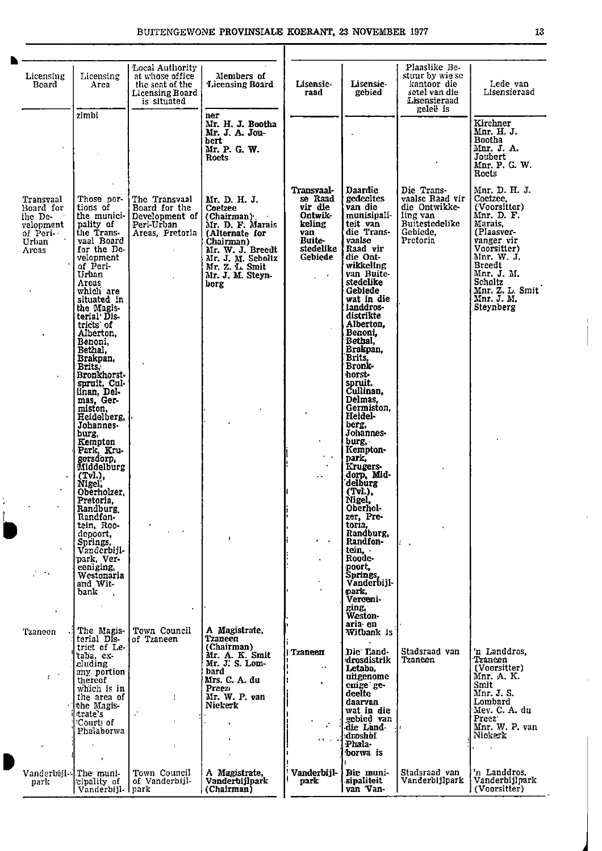| Licensing<br>Board                                                           | Licensing<br>Area                                                                                                                                                                                                                                                                                                                                                              | Local Authority<br>at whose office.<br>the seat of the<br>Licensing Board<br>is situated      | Members of<br>Licensing Board                                                                                                                                                    | Lisensie-<br>raad                                                                                    | Lisensie-<br>gebied                                                                                                                                                                                                                                                                                                                                                           | Plaaslike Be-<br>stuur by wie se<br>kantoor die<br>setel van die<br>Lisensieraad<br>geleë is         | Lede van<br>Lisensieraad                                                                                                                                                                                            |
|------------------------------------------------------------------------------|--------------------------------------------------------------------------------------------------------------------------------------------------------------------------------------------------------------------------------------------------------------------------------------------------------------------------------------------------------------------------------|-----------------------------------------------------------------------------------------------|----------------------------------------------------------------------------------------------------------------------------------------------------------------------------------|------------------------------------------------------------------------------------------------------|-------------------------------------------------------------------------------------------------------------------------------------------------------------------------------------------------------------------------------------------------------------------------------------------------------------------------------------------------------------------------------|------------------------------------------------------------------------------------------------------|---------------------------------------------------------------------------------------------------------------------------------------------------------------------------------------------------------------------|
|                                                                              | zimbi                                                                                                                                                                                                                                                                                                                                                                          |                                                                                               | ner<br>Mr. H. J. Bootha<br>Mr. J. A. Jou-<br>bert<br>Mr. P. G. W.<br><b>Roets</b>                                                                                                |                                                                                                      |                                                                                                                                                                                                                                                                                                                                                                               |                                                                                                      | Kirchner<br>Mnr. H. J.<br><b>Bootha</b><br>Mnr. J. A.<br>Joubert<br>Mnr. P. G. W.<br>Roets                                                                                                                          |
| Transvaal<br>Board for<br>the De-<br>velopment<br>of Peri-<br>Urban<br>Areas | Those por-<br>tions of<br>pality of<br>the Trans-<br>vaal Board<br>for the De-<br>velopment<br>of Peri-<br>Urban<br>Areas<br>which are<br>situated in<br>the Magis-<br>terial Dis-<br>tricts of<br>Alberton,<br>Benoni,<br>Bethal.<br>Brakpan,<br>Brits.<br>Bronkhorst-<br>spruit, Cul-<br>linan, Del-<br>mas, Ger-<br>miston,<br>Heidelberg,<br>Johannes-<br>burg,<br>Kempton | The Transvaal<br>Board for the<br>the munici- Development of<br>Peri-Urban<br>Areas, Pretoria | Mr. D. H. J.<br>Coetzee<br>(Chairman).<br>Mr. D. F. Marais<br>(Alternate for<br>Chairman)<br>Mr. W. J. Breedt<br>Mr. J. M. Scholtz<br>Mr. Z. L. Smit<br>Mr. J. M. Steyn-<br>berg | Transvaal-<br>se Raad<br>vir die<br>Ontwik-<br>keling<br>van<br><b>Buite</b><br>stedelike<br>Gebiede | Daardie<br>gedeeltes<br>van die<br>munisipali-<br>teit van<br>die Trans-<br>vaalse<br>Raad vir<br>die Ont-<br>wikkeling<br>van Buite-<br>stedelike<br>Gebiede<br>wat in die<br>landdros-<br>distrikte<br>Alberton,<br>Benoni,<br>Bethal,<br>Brakpan,<br>Brits,<br>Bronk-<br>horst-<br>spruit,<br>Cullinan.<br>Delmas.<br>Germiston.<br>Heidel-<br>berg,<br>Johannes-<br>burg, | Die Trans-<br>vaalse Raad vir<br>die Ontwikke-<br>ling van<br>Buitestedelike<br>Gebiede.<br>Pretoria | Mnr. D. H. J.<br>Coetzee.<br>(Voorsitter)<br>Mnr. D. F.<br>Marais,<br>(Plaasver-<br>vanger vir<br>Voorsitter)<br>Mnr. W. J.<br><b>Breedt</b><br>Mnr. J. M.<br>Scholtz<br>Mnr. Z. L. Smit<br>Mnr. J. M.<br>Steynberg |
| $\sim$ $\sim$                                                                | Park Kru-<br>gersdorp,<br>Middelburg<br>(Tvl.)<br>Nigel,<br>Oberholzer,<br>Pretoria.<br>Randburg.<br>Randfon-<br>tein, Roo-<br>depoort,<br>Springs,<br>Vanderbijl-<br>park, Ver-<br>eeniging,<br>Westonaria<br>and Wit-<br>bank<br>$\mathbf{r}$                                                                                                                                |                                                                                               | Ŷ.                                                                                                                                                                               | . .<br>$\cdot$<br>$\bullet$                                                                          | Kempton-<br>park.<br>Krugers-<br>dorp, Mid-<br>delburg<br>(Tvl.),<br>Nigel,<br>Oberhol-<br>zer, Pre-<br>toria,<br>Randburg,<br>Randfon-<br>tein,<br>Roode-<br>poort,<br>Springs,<br>Vanderbijl-<br>park,<br>Verceni-                                                                                                                                                          |                                                                                                      |                                                                                                                                                                                                                     |
| J.<br>'Fzaneen<br>$\chi \to 0$                                               | The Magis-<br>terial DIs-<br>trict of Le-<br>'taba, ex-<br>cluding<br>any portion<br>thereof<br>which is in<br>the area of<br>the Magis-<br>ttrate's<br>'Court! of<br>Phalaborwa<br>$\mathbf{I}$                                                                                                                                                                               | $\bullet$<br>Town Council<br>of Tzaneen                                                       | A Magistrate.<br>Tzaneen<br>(Chairman)<br>Mr. A. K. Smit<br>Mr. J. S. Lom-<br>bard<br>Mrs. C. A. du<br>Preez<br>Mr. W. P. van<br>Niekerk                                         | Tzaneen<br>$\sim$ $\sim$<br>٠                                                                        | ging,<br>Weston-<br>aria en<br>Witbank is<br>Die Land-<br>drosdistrik<br>Letaba.<br>uitgenome<br>enige ge-<br>deelte<br>daarvan<br>wat in die<br>gebied van<br>die Land-<br>droshof<br>Phata-<br>borwa is                                                                                                                                                                     | Stadsraad van<br>Tzaneen                                                                             | 'n Landdros,<br>Tzaneen<br>(Voorsitter)<br>Mnr. A. K.<br>Smit<br>Mnr. J. S.<br>Lombard<br>Mey. C. A. du<br>Preez <sup>-</sup><br>Mnr. W. P. van<br>Nickerk                                                          |
| Vanderbijl- The muni-<br>park                                                | cipality of<br>  Vanderbijl-   park                                                                                                                                                                                                                                                                                                                                            | Town Council<br>of Vanderbijl-                                                                | A Magistrate.<br>Vanderbijlpark<br>(Chairman)                                                                                                                                    | Vanderbijl-<br>park                                                                                  | Die muni-<br><b>sipaliteit</b><br>van Van-                                                                                                                                                                                                                                                                                                                                    | Stadsraad van<br>Vanderbijlpark                                                                      | 'n Landdros,<br>Vanderbijlpark<br>(Voorsitter)                                                                                                                                                                      |

 $\frac{1}{\pi}$ 

1

 $\bar{1}$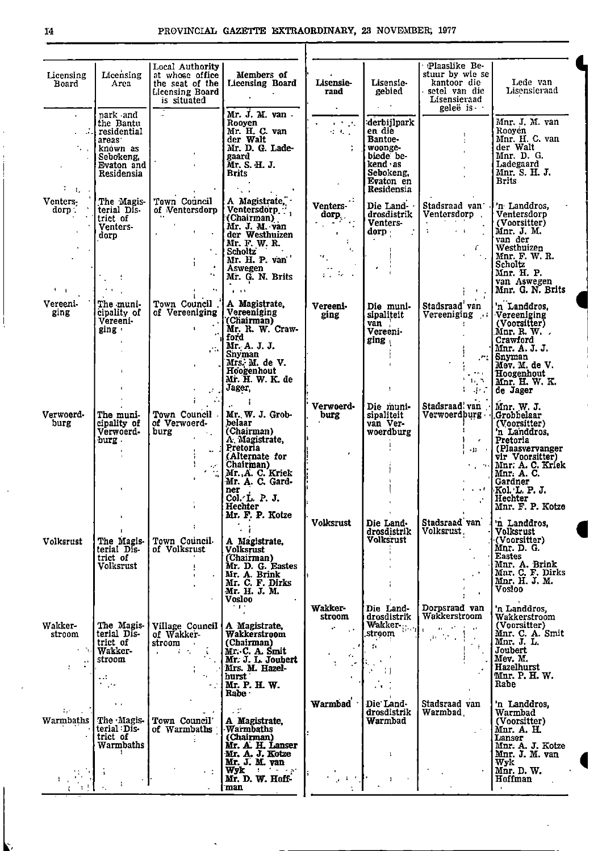| Licensing<br>Board                                                           | Licensing<br>Area                                                                                                   | Local Authority<br>at whose office<br>the seat of the<br><b>Licensing Board</b><br>is situated                                                            | Members of<br><b>Licensing Board</b><br>Mr. J. M. van -                                                                                                                                                 | <b>Lisensie-</b><br>rand<br>$\blacksquare$                                                                                                                                                                                                           | Lisensie-<br>gebied<br>$\omega_{\rm{max}}$                                                                                            | Plaaslike Be-<br>stuur by wie se<br>kantoor die<br>setel van die<br>Lisensieraad<br>geleë is ·                                       | Lede van<br>Lisensieraad                                                                                                                                                                                        |
|------------------------------------------------------------------------------|---------------------------------------------------------------------------------------------------------------------|-----------------------------------------------------------------------------------------------------------------------------------------------------------|---------------------------------------------------------------------------------------------------------------------------------------------------------------------------------------------------------|------------------------------------------------------------------------------------------------------------------------------------------------------------------------------------------------------------------------------------------------------|---------------------------------------------------------------------------------------------------------------------------------------|--------------------------------------------------------------------------------------------------------------------------------------|-----------------------------------------------------------------------------------------------------------------------------------------------------------------------------------------------------------------|
| <b>Service</b><br>$\overline{t} = \overline{t}_1 - \overline{t}_2$           | park and<br>the Bantu<br>. residential<br>areas <sup>®</sup><br>l knówn as<br>Sebokeng.<br>Evaton and<br>Residensia |                                                                                                                                                           | Rooyen<br>Mr. H. C. van<br>der Walt<br>Mr. D. G. Lade-<br>gaard<br>Mr. S. H. J.<br><b>Brits</b><br>ta a                                                                                                 | $\mathbf{r} \in \mathbb{R}^{n \times n}$<br>$\mathcal{L}^{\mathcal{A}}$ , $\mathcal{L}^{\mathcal{A}}$ , $\mathcal{L}^{\mathcal{A}}$                                                                                                                  | derbijlpark<br>en die<br>Bantoe-<br>woonge-<br>biede be-<br>kend as<br>Sebokeng.<br>Evaton en<br>Residensia                           | f.<br>÷.<br>$\blacksquare$                                                                                                           | Mnr. J. M. van<br>Rooyen<br>Mnr. H. C. van<br>der Walt<br>Mnr. D. G.<br>Ladegaard<br>Mnr. S. H. J.<br>Brits                                                                                                     |
| Venters-<br>dorp:<br>$\mathbf{1}$                                            | The Magis-<br>terial Dis-<br>trict of<br>Venters-<br>dorp                                                           | Town Council<br>of Ventersdorp<br>$\mathbf{u}$ .<br>$\mathbf{R}$<br>$\Delta$<br>$\mathbf{r}$<br>$\mathbf{v}_{\rm in}$<br>$\frac{1}{1}$<br>$\mathbf{A}$ is | A Magistrate,<br>Ventersdorp ",<br>(Chairman)<br>Mr. J. M. van<br>der Westhuizen<br>Mr. F. W. R.<br><b>Scholtz</b><br>Mr. H. P. van<br>Aswegen<br>Mr. G. N. Brits<br>$\mathbf{a}=\mathbf{a}+\mathbf{b}$ | Venters-<br>dorp.<br>$\mathcal{L}_{\mathcal{A}}$ and $\mathcal{L}_{\mathcal{A}}$ and $\mathcal{L}_{\mathcal{A}}$<br><b>Contractor</b><br>$\sim 2-$<br>$\mathbf{d}_{\mathrm{max}}$<br>$\mathcal{F}_{\mathcal{L}}$ .<br>$\mathbf{r} \in \mathcal{M}$ . | Die Land-<br>drosdistrik<br>Venters-<br>dorp<br>$\mathbf{r}$                                                                          | Stadsraad van<br>Ventersdorp.<br>$\sigma_{\rm{eff}}$<br>$\sim 1$<br>r.<br><b>Control</b>                                             | 'n Landdros,<br>Ventersdorp<br>(Voorsitter)<br>Mnr. J. M.<br>van der<br>Westhuizen<br>Mnr. F. W. R.<br>Scholtz<br>Mnr. H. P.<br>van Aswegen<br>Mnr. G. N. Brits                                                 |
| Vereeni-<br>ging                                                             | The muni-<br>cipality of<br>Vereeni-<br>ging +                                                                      | Town Council.<br>of Vereeniging<br>$\mathbf{L}$                                                                                                           | A Magistrate,<br>Vereeniging<br>(Chairman)<br>Mr. R. W. Craw-<br>ford<br>Mr. A. J. J.<br><b>Snyman</b><br>Mrs. M. de V.<br>Hoogenhout<br>Mr. H. W. K. de<br>Jager,<br>$\ddot{\phantom{1}}$              | Vereeni-<br>ging                                                                                                                                                                                                                                     | Die muni-<br>sipaliteit<br>van<br>Vereeni-<br>ging<br>$\mathbf{1}$                                                                    | Stadsraad' van<br>Vereeniging<br>$\sim$ $\sim$ $\sim$<br>$\mathbf{H}_1$ .<br>$\Gamma$ , $\Gamma$ , $\Gamma$                          | 'n Landdros,<br>Vereeniging<br>(Voorsifter)<br>$Mnr$ . R. $W$ .<br>Crawford<br>Mnr. A. J. J.<br>r: Snyman<br>Mev. M. de V.<br>Hoogenhout<br>Mnr. H. W. K.<br>de Jager                                           |
| Verwoerd-<br>burg                                                            | The muni-<br>cipality of<br>Verwoerd-<br>burg.                                                                      | Town Council<br>of Verwoerd-<br>burg<br>$\sim$ $\sim$<br>$\omega^{\pm}$                                                                                   | Mr. W. J. Grob-<br>belaar<br>(Chairman)<br>A. Magistrate,<br>Pretoria<br>(Alternate for<br>Chairman)<br>Mr. A. C. Kriek<br>Mr. A. C. Gard-<br>ner<br>ner<br>Col∠L. P. J.<br>Hechter<br>Mr. F. P. Kotze  | Verwoerd-<br>burg<br><b>Volksrust</b>                                                                                                                                                                                                                | Die muni-<br>sipaliteit<br>van Ver-<br>woerdburg<br>Die Land-                                                                         | Stadsraad van<br>Verwoerdburg Grobbelaar<br>$\epsilon$<br><b>Carry Fr</b><br>$\mathcal{S}$<br>Stadsraad van                          | Mnr. W. J.<br>(Voorsitter)<br>'n Landdros,<br>l Pretoria<br>  (Plaasvervanger<br>vir Voorsitter)<br>Mnr. A. C. Kriek<br>Mnr. A. C.<br>Gardner<br>Kol. L. P. J.<br>  Hechter<br>Mnr. F. P. Kotze<br>'n Landdros. |
| Volksrust                                                                    | The Magis-<br>terial Dis-<br>trict of<br>Volksrust                                                                  | Town Council<br>of Volksrust                                                                                                                              | A Magistrate,<br>Volksrust<br>(Chairman)<br>Mr. D. G. Eastes<br>Mr. A. Brink<br>Mr. C. F. Dirks<br>Mr. H. J. M.<br>Vosloo<br>$\cdot$ + $\cdot$                                                          | Wakker-                                                                                                                                                                                                                                              | drosdistrik<br>Volksrust<br>Die Land-                                                                                                 | Volksrust.<br>Dorpsraad van                                                                                                          | Volksrust<br>(Voorsitter)<br>Mnr. D. G.<br><b>Eastes</b><br>Mnr. A. Brink<br>Mnr. C. F. Dirks<br>Mnr. H. J. M.<br>Vosloo<br>'n Landdros,                                                                        |
| Wakker-<br>stroom<br>$\mathcal{N}_{\mathrm{c}}$<br>$\mathbb{R}^{\mathbb{Z}}$ | The Magis-<br>terial Dis-<br>trict of<br><b>Wakker-</b><br>stroom<br>$\ddots$<br>$\mathcal{F}=\mathcal{F}$          | Village Council  <br>of Wakker-<br>stroom<br>$\mathcal{L}^{\text{max}}$ and $\mathcal{L}^{\text{max}}$                                                    | A Magistrate,<br>Wakkerstroom<br>(Chairman)<br>Mr. C. A. Smit<br>Mr. J. L. Joubert<br>Mrs. M. Hazel-<br>hurst<br>Mr. P. H. W.<br>Rabe :                                                                 | stroom<br>$\mathbf{r}^{\star}$<br>÷.<br>÷.                                                                                                                                                                                                           | drosdistrik<br>$\text{Wakker}_{\left[\cdot\right]\cdots\left[\cdot\right]}$<br>stroom<br>$\mathbf{f}_\mathrm{R}$<br>-11<br>$\sim 100$ | Wakkerstroom<br>$\mu_{\rm c} = 4.5$<br>$\mathbf{r}$<br>$\mathcal{A} \in \mathcal{A}$ , $\mathcal{A} \in \mathcal{A}$<br>$\mathbf{I}$ | Wakkerstroom<br>(Voorsitter)<br>Mnr. C. A. Smit<br>Mnr. J. L.<br>Joubert<br>Mev. M.<br>Hazelhurst<br>Mnr. P. H. W.<br>Rabe                                                                                      |
| $\mathbb{F}_2$ :<br>Warmbaths                                                | $\bullet$ . $\bullet$<br>The Magis-<br>terial Dis-<br>trict of<br>Warmbaths                                         | Town Council<br>of Warmbaths                                                                                                                              | A Magistrate,<br>Warmbaths<br>(Chairman)<br>Mr. A. H. Lanser<br>Mr. A. J. Kotze<br>Mr. J. M. van                                                                                                        | Warmbad                                                                                                                                                                                                                                              | Die Land-<br>drosdistrik<br>Warmbad<br>-1                                                                                             | Stadsraad van<br>Warmbad.                                                                                                            | 'n Landdros,<br>Warmbad<br>(Voorsitter)<br>Mnr. A. H.<br>Lanser<br>Mnr. A. J. Kotze<br>Mnr. J. M. van<br>Wyk                                                                                                    |
|                                                                              |                                                                                                                     | $+12$                                                                                                                                                     | $Wyk$ $\cdots$<br>Mr. D. W. Hoff<br>man                                                                                                                                                                 |                                                                                                                                                                                                                                                      |                                                                                                                                       |                                                                                                                                      | Mnr. D. W.<br>Hoffman                                                                                                                                                                                           |

 $\mathcal{L}$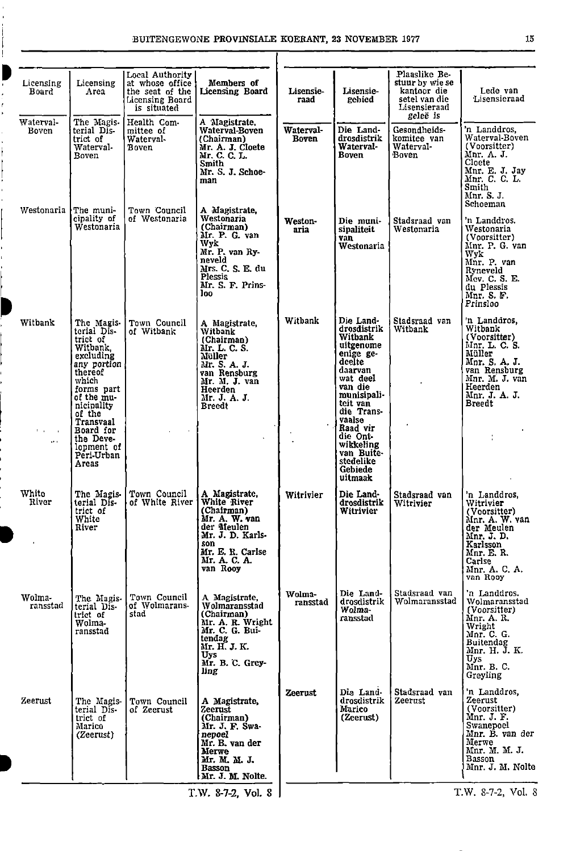| Licensing<br>Board               | Licensing<br>Area                                                                                                                                                  | Local Authority<br>at whose office<br>the seat of the<br>Licensing Board<br>is situated | Members of<br>Licensing Board                                                                                                                                   | Lisensie-<br>raad         | Lisensie-<br>rebied                                                                                                                                                      | Plaaslike Be-<br>stuur by wie se<br>kantoor die<br>setel van die<br>Lisensierand<br>geleë is | Lede van<br>Lisensieraad                                                                                                                                           |
|----------------------------------|--------------------------------------------------------------------------------------------------------------------------------------------------------------------|-----------------------------------------------------------------------------------------|-----------------------------------------------------------------------------------------------------------------------------------------------------------------|---------------------------|--------------------------------------------------------------------------------------------------------------------------------------------------------------------------|----------------------------------------------------------------------------------------------|--------------------------------------------------------------------------------------------------------------------------------------------------------------------|
| Waterval-<br>Boven               | The Magis.<br>terial Dis-<br>trict of<br>Waterval-<br>Boven                                                                                                        | Health Com-<br>mittee of<br>Waterval-<br>Boven                                          | A Magistrate,<br>Waterval-Boven<br>(Chairman)<br>Mr. A. J. Cloete<br>Mr. C. C. L.<br>Smith<br>Mr. S. J. Schoe-<br>man                                           | Waterval-<br><b>Boven</b> | Die Land-<br>drosdistrik<br>Waterval-<br>Boven                                                                                                                           | Gesondheids-<br>komitee van<br>Waterval-<br>Boven                                            | 'n Landdros,<br>Waterval-Boven<br>(Voorsitter)<br>Mnr. A. J.<br>Cloete<br>Mnr. E. J. Jay<br>Mnr. C. C. L.<br>Smith<br>Mnr. S. J.<br>Schoeman                       |
| Westonaria                       | The muni-<br>cipality of<br>Westonaria                                                                                                                             | Town Council<br>of Westonaria                                                           | A Magistrate,<br>Westonaria<br>(Chairman)<br>Mr. P. G. van<br>Wyk<br>Mr. P. van Ry-<br>neveld<br>Mrs. C. S. E. du<br><b>Plessis</b><br>Mr. S. F. Prins-<br>loo. | Weston-<br>aria           | Die muni-<br>sipaliteit<br>van<br>Westonaria                                                                                                                             | Stadsraad van<br>Westonaria                                                                  | 'n Landdros.<br>Westonaria<br>(Voorsitter)<br>Mnr. P. G. van<br>Wyk<br>Mnr. P. van<br>Ryneveld<br>Mev. C. S. E.<br>du Plessis<br>Mnr. S. F.<br>Prinsloo            |
| Witbank                          | The Magis-<br>terial Dis-<br>trict of<br>Witbank.<br>excluding<br>any portion<br>thereof<br>which<br>forms part<br>of the mu-<br>nicipality<br>of the<br>Transvaal | Town Council<br>of Witbank                                                              | A Magistrate,<br>Witbank<br>(Chairman)<br>Mr. L. C. S.<br>Müller<br>Mr. S. A. J.<br>van Rensburg<br>Mr. M. J. van<br>Heerden<br>Mr. J. A. J.<br><b>Breedt</b>   | Witbank                   | Die Land-<br>drosdistrik<br>Witbank<br>uitgenome<br>enige ge-<br>deelte<br>daarvan<br>wat deel<br>van die<br>munisipali-<br>teit van<br>die Trans-<br>vaalse<br>Raad vir | Stadsraad van<br>Witbank                                                                     | 'n Landdros.<br>Witbank<br>(Voorsitter)<br>Mnr. L. C. S.<br>Müller<br>Mnr. S. A. J.<br>van Rensburg<br>Mnr. M. J. van<br>Heerden<br>Mnr. J. A. J.<br><b>Breedt</b> |
| $\mathbf{r}$<br>$\sim$<br>ak ali | Board for<br>the Deve-<br>lopment of<br>Peri-Urban<br>Areas                                                                                                        |                                                                                         |                                                                                                                                                                 |                           | die Ont-<br>wikkeling<br>van Buite-<br>stedelike<br>Gebiede<br>uitmaak                                                                                                   |                                                                                              |                                                                                                                                                                    |
| White<br>River                   | terial Dis-<br>trict of<br>White<br>River                                                                                                                          | The Magis- Town Council<br>of White River                                               | A Magistrate.<br>White River<br>(Chairman)<br>Mr. A. W. van<br>der Meulen<br>Mr. J. D. Karls-<br>son<br>Mr. E. R. Carlse<br>Mr. A. C. A.<br>van Rooy            | Witrivier                 | Die Land-<br>drosdistrik<br><b>Witrivier</b>                                                                                                                             | Stadsraad van<br>Witrivier                                                                   | 'n Landdros,<br>Witrivier<br>(Voorsitter)<br>Mnr. A. W. van<br>der Meulen<br>Mnr. J. D.<br>Karlsson<br>Mnr. E. R.<br>Carlse<br>Mnr. A. C. A.<br>van Rooy           |
| Wolma-<br>ransstad               | The Magis-<br>terial Dis-<br>trict of<br>Wolma-<br>ransstad                                                                                                        | Town Council<br>of Wolmarans-<br>stad                                                   | A Magistrate,<br>Wolmaransstad<br>(Chairman)<br>Mr. A. R. Wright<br>Mr. C. G. Bui-<br>tendag<br>Mr. H. J. K.<br>Uys<br>Mr. B. C. Grey-<br>ling                  | Wolma-<br>ransstad        | Die Land-<br>drosdistrik<br>Wolma-<br>ransstad                                                                                                                           | Stadsraad van<br>Wolmaransstad                                                               | 'n Landdros.<br>Wolmaransstad<br>(Voorsitter)<br>Mnr. A. R.<br>Wright<br>Mnr. C. G.<br>Buitendag<br>Mnr. H. J. K.<br><b>Uys</b><br>Mnr. B. C.<br>Greyling          |
| Zeerust                          | The Magis-<br>terial Dis-<br>trict of<br>Marico<br>(Zeerust)                                                                                                       | Town Council<br>of Zeerust                                                              | A Magistrate,<br>Zeerust<br>(Chairman)<br>Mr. J. F. Swa-<br>nepoel<br>Mr. B. van der<br>Merwe<br>Mr. M. M. J.<br>Basson<br>Mr. J. M. Nolte.                     | Zeerust                   | Die Land-<br>drosdistrik<br>Marico<br>(Zeerust)                                                                                                                          | Stadsraad van<br>Zeerust                                                                     | 'n Landdros,<br>Zeerust<br>(Voorsitter)<br>Mnr. J. F.<br>Swanepoel<br>Mnr. B. van der<br>Merwe<br>Mnr. M. M. J.<br><b>Basson</b><br>Mnr. J. M. Nolte               |